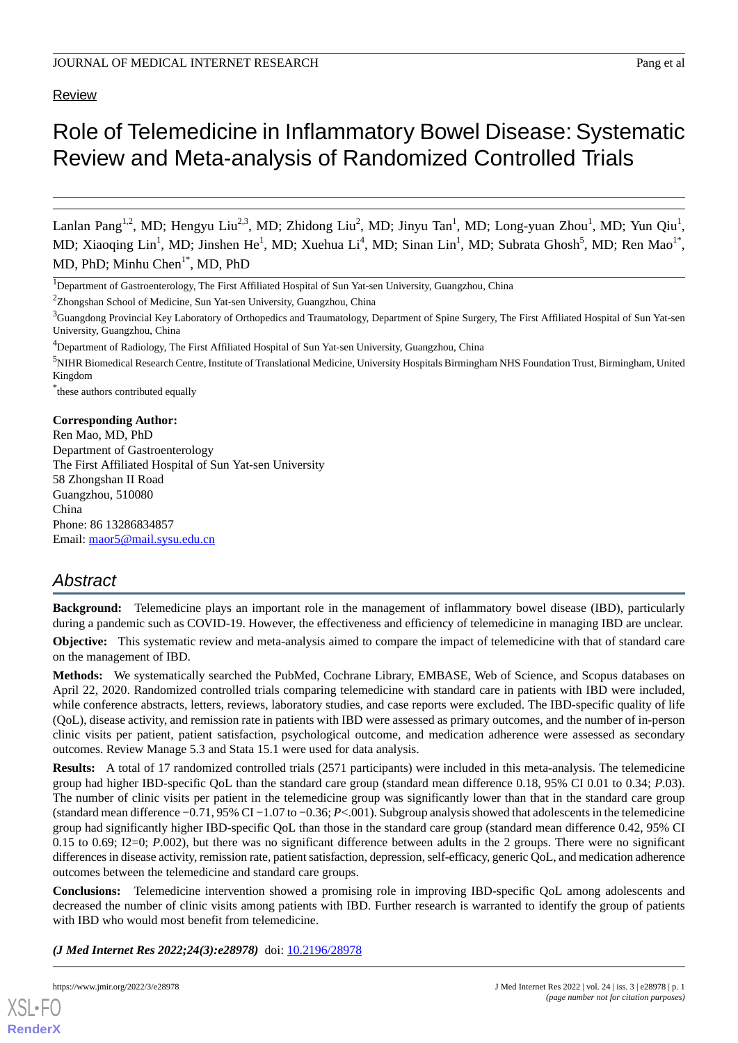# Review

# Role of Telemedicine in Inflammatory Bowel Disease: Systematic Review and Meta-analysis of Randomized Controlled Trials

Lanlan Pang<sup>1,2</sup>, MD; Hengyu Liu<sup>2,3</sup>, MD; Zhidong Liu<sup>2</sup>, MD; Jinyu Tan<sup>1</sup>, MD; Long-yuan Zhou<sup>1</sup>, MD; Yun Qiu<sup>1</sup>, MD; Xiaoqing Lin<sup>1</sup>, MD; Jinshen He<sup>1</sup>, MD; Xuehua Li<sup>4</sup>, MD; Sinan Lin<sup>1</sup>, MD; Subrata Ghosh<sup>5</sup>, MD; Ren Mao<sup>1\*</sup>, MD, PhD; Minhu Chen<sup>1\*</sup>, MD, PhD

\* these authors contributed equally

#### **Corresponding Author:**

Ren Mao, MD, PhD Department of Gastroenterology The First Affiliated Hospital of Sun Yat-sen University 58 Zhongshan II Road Guangzhou, 510080 China Phone: 86 13286834857 Email: [maor5@mail.sysu.edu.cn](mailto:maor5@mail.sysu.edu.cn)

# *Abstract*

**Background:** Telemedicine plays an important role in the management of inflammatory bowel disease (IBD), particularly during a pandemic such as COVID-19. However, the effectiveness and efficiency of telemedicine in managing IBD are unclear.

**Objective:** This systematic review and meta-analysis aimed to compare the impact of telemedicine with that of standard care on the management of IBD.

**Methods:** We systematically searched the PubMed, Cochrane Library, EMBASE, Web of Science, and Scopus databases on April 22, 2020. Randomized controlled trials comparing telemedicine with standard care in patients with IBD were included, while conference abstracts, letters, reviews, laboratory studies, and case reports were excluded. The IBD-specific quality of life (QoL), disease activity, and remission rate in patients with IBD were assessed as primary outcomes, and the number of in-person clinic visits per patient, patient satisfaction, psychological outcome, and medication adherence were assessed as secondary outcomes. Review Manage 5.3 and Stata 15.1 were used for data analysis.

**Results:** A total of 17 randomized controlled trials (2571 participants) were included in this meta-analysis. The telemedicine group had higher IBD-specific QoL than the standard care group (standard mean difference 0.18, 95% CI 0.01 to 0.34; *P*.03). The number of clinic visits per patient in the telemedicine group was significantly lower than that in the standard care group (standard mean difference −0.71, 95% CI −1.07 to −0.36; *P*<.001). Subgroup analysis showed that adolescents in the telemedicine group had significantly higher IBD-specific QoL than those in the standard care group (standard mean difference 0.42, 95% CI 0.15 to 0.69; I2=0; *P*.002), but there was no significant difference between adults in the 2 groups. There were no significant differences in disease activity, remission rate, patient satisfaction, depression, self-efficacy, generic QoL, and medication adherence outcomes between the telemedicine and standard care groups.

**Conclusions:** Telemedicine intervention showed a promising role in improving IBD-specific QoL among adolescents and decreased the number of clinic visits among patients with IBD. Further research is warranted to identify the group of patients with IBD who would most benefit from telemedicine.

*(J Med Internet Res 2022;24(3):e28978)* doi:  $10.2196/28978$ 

```
XSL•FO
```
**[RenderX](http://www.renderx.com/)**

<sup>&</sup>lt;sup>1</sup>Department of Gastroenterology, The First Affiliated Hospital of Sun Yat-sen University, Guangzhou, China

<sup>&</sup>lt;sup>2</sup>Zhongshan School of Medicine, Sun Yat-sen University, Guangzhou, China

<sup>&</sup>lt;sup>3</sup>Guangdong Provincial Key Laboratory of Orthopedics and Traumatology, Department of Spine Surgery, The First Affiliated Hospital of Sun Yat-sen University, Guangzhou, China

<sup>&</sup>lt;sup>4</sup>Department of Radiology, The First Affiliated Hospital of Sun Yat-sen University, Guangzhou, China

<sup>5</sup>NIHR Biomedical Research Centre, Institute of Translational Medicine, University Hospitals Birmingham NHS Foundation Trust, Birmingham, United Kingdom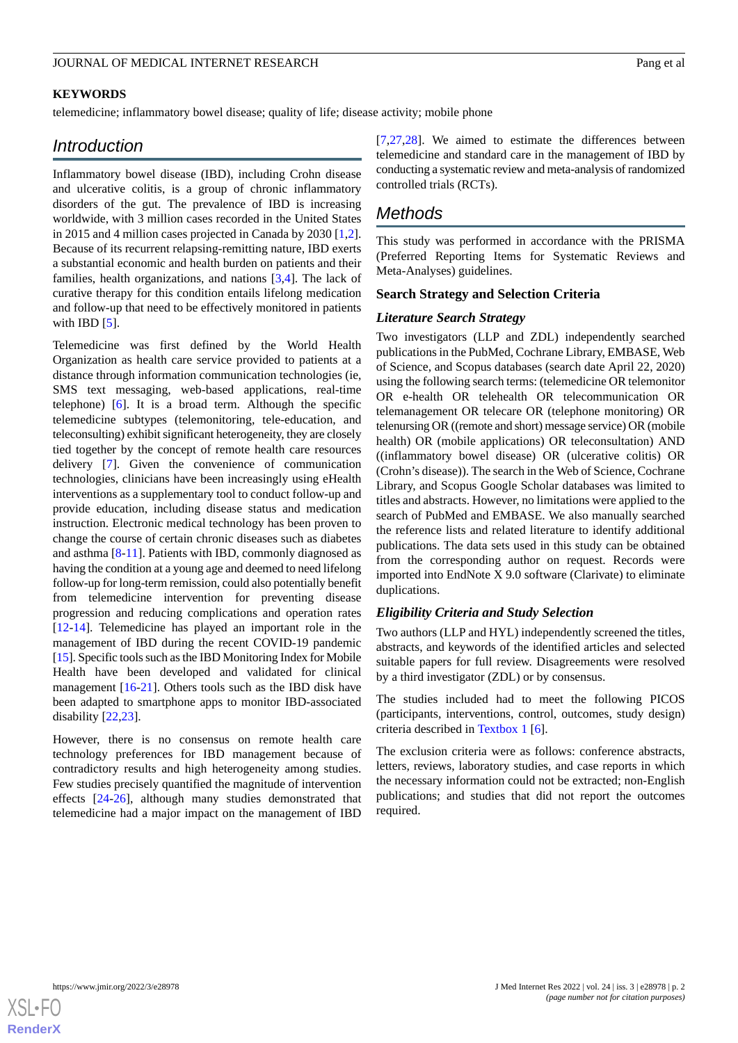#### **KEYWORDS**

telemedicine; inflammatory bowel disease; quality of life; disease activity; mobile phone

# *Introduction*

Inflammatory bowel disease (IBD), including Crohn disease and ulcerative colitis, is a group of chronic inflammatory disorders of the gut. The prevalence of IBD is increasing worldwide, with 3 million cases recorded in the United States in 2015 and 4 million cases projected in Canada by 2030 [\[1](#page-11-0),[2\]](#page-11-1). Because of its recurrent relapsing-remitting nature, IBD exerts a substantial economic and health burden on patients and their families, health organizations, and nations [\[3](#page-11-2),[4\]](#page-11-3). The lack of curative therapy for this condition entails lifelong medication and follow-up that need to be effectively monitored in patients with IBD [[5\]](#page-11-4).

Telemedicine was first defined by the World Health Organization as health care service provided to patients at a distance through information communication technologies (ie, SMS text messaging, web-based applications, real-time telephone) [[6\]](#page-11-5). It is a broad term. Although the specific telemedicine subtypes (telemonitoring, tele-education, and teleconsulting) exhibit significant heterogeneity, they are closely tied together by the concept of remote health care resources delivery [[7\]](#page-11-6). Given the convenience of communication technologies, clinicians have been increasingly using eHealth interventions as a supplementary tool to conduct follow-up and provide education, including disease status and medication instruction. Electronic medical technology has been proven to change the course of certain chronic diseases such as diabetes and asthma [\[8](#page-11-7)-[11\]](#page-12-0). Patients with IBD, commonly diagnosed as having the condition at a young age and deemed to need lifelong follow-up for long-term remission, could also potentially benefit from telemedicine intervention for preventing disease progression and reducing complications and operation rates [[12](#page-12-1)[-14](#page-12-2)]. Telemedicine has played an important role in the management of IBD during the recent COVID-19 pandemic [[15\]](#page-12-3). Specific tools such as the IBD Monitoring Index for Mobile Health have been developed and validated for clinical management [\[16](#page-12-4)[-21](#page-12-5)]. Others tools such as the IBD disk have been adapted to smartphone apps to monitor IBD-associated disability [[22,](#page-12-6)[23](#page-12-7)].

However, there is no consensus on remote health care technology preferences for IBD management because of contradictory results and high heterogeneity among studies. Few studies precisely quantified the magnitude of intervention effects [\[24](#page-12-8)-[26\]](#page-12-9), although many studies demonstrated that telemedicine had a major impact on the management of IBD

[[7](#page-11-6)[,27](#page-12-10),[28\]](#page-12-11). We aimed to estimate the differences between telemedicine and standard care in the management of IBD by conducting a systematic review and meta-analysis of randomized controlled trials (RCTs).

# *Methods*

This study was performed in accordance with the PRISMA (Preferred Reporting Items for Systematic Reviews and Meta-Analyses) guidelines.

#### **Search Strategy and Selection Criteria**

#### *Literature Search Strategy*

Two investigators (LLP and ZDL) independently searched publications in the PubMed, Cochrane Library, EMBASE, Web of Science, and Scopus databases (search date April 22, 2020) using the following search terms: (telemedicine OR telemonitor OR e-health OR telehealth OR telecommunication OR telemanagement OR telecare OR (telephone monitoring) OR telenursing OR ((remote and short) message service) OR (mobile health) OR (mobile applications) OR teleconsultation) AND ((inflammatory bowel disease) OR (ulcerative colitis) OR (Crohn's disease)). The search in the Web of Science, Cochrane Library, and Scopus Google Scholar databases was limited to titles and abstracts. However, no limitations were applied to the search of PubMed and EMBASE. We also manually searched the reference lists and related literature to identify additional publications. The data sets used in this study can be obtained from the corresponding author on request. Records were imported into EndNote X 9.0 software (Clarivate) to eliminate duplications.

#### *Eligibility Criteria and Study Selection*

Two authors (LLP and HYL) independently screened the titles, abstracts, and keywords of the identified articles and selected suitable papers for full review. Disagreements were resolved by a third investigator (ZDL) or by consensus.

The studies included had to meet the following PICOS (participants, interventions, control, outcomes, study design) criteria described in [Textbox 1](#page-2-0) [\[6](#page-11-5)].

The exclusion criteria were as follows: conference abstracts, letters, reviews, laboratory studies, and case reports in which the necessary information could not be extracted; non-English publications; and studies that did not report the outcomes required.

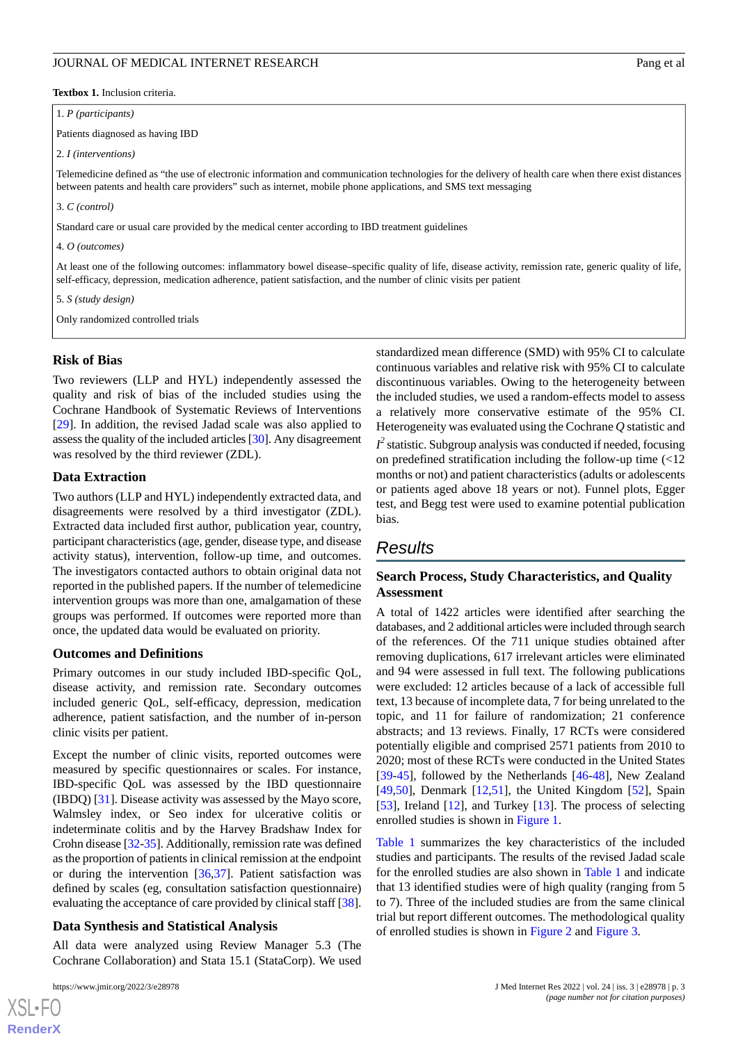<span id="page-2-0"></span>**Textbox 1.** Inclusion criteria.

#### 1. *P (participants)*

Patients diagnosed as having IBD

2. *I (interventions)*

Telemedicine defined as "the use of electronic information and communication technologies for the delivery of health care when there exist distances between patents and health care providers" such as internet, mobile phone applications, and SMS text messaging

3. *C (control)*

Standard care or usual care provided by the medical center according to IBD treatment guidelines

4. *O (outcomes)*

At least one of the following outcomes: inflammatory bowel disease–specific quality of life, disease activity, remission rate, generic quality of life, self-efficacy, depression, medication adherence, patient satisfaction, and the number of clinic visits per patient

5. *S (study design)*

Only randomized controlled trials

#### **Risk of Bias**

Two reviewers (LLP and HYL) independently assessed the quality and risk of bias of the included studies using the Cochrane Handbook of Systematic Reviews of Interventions [[29\]](#page-12-12). In addition, the revised Jadad scale was also applied to assess the quality of the included articles [[30](#page-13-0)]. Any disagreement was resolved by the third reviewer (ZDL).

#### **Data Extraction**

Two authors (LLP and HYL) independently extracted data, and disagreements were resolved by a third investigator (ZDL). Extracted data included first author, publication year, country, participant characteristics (age, gender, disease type, and disease activity status), intervention, follow-up time, and outcomes. The investigators contacted authors to obtain original data not reported in the published papers. If the number of telemedicine intervention groups was more than one, amalgamation of these groups was performed. If outcomes were reported more than once, the updated data would be evaluated on priority.

#### **Outcomes and Definitions**

Primary outcomes in our study included IBD-specific QoL, disease activity, and remission rate. Secondary outcomes included generic QoL, self-efficacy, depression, medication adherence, patient satisfaction, and the number of in-person clinic visits per patient.

Except the number of clinic visits, reported outcomes were measured by specific questionnaires or scales. For instance, IBD-specific QoL was assessed by the IBD questionnaire (IBDQ) [\[31](#page-13-1)]. Disease activity was assessed by the Mayo score, Walmsley index, or Seo index for ulcerative colitis or indeterminate colitis and by the Harvey Bradshaw Index for Crohn disease [\[32](#page-13-2)[-35](#page-13-3)]. Additionally, remission rate was defined as the proportion of patients in clinical remission at the endpoint or during the intervention [\[36](#page-13-4),[37\]](#page-13-5). Patient satisfaction was defined by scales (eg, consultation satisfaction questionnaire) evaluating the acceptance of care provided by clinical staff [[38\]](#page-13-6).

#### **Data Synthesis and Statistical Analysis**

All data were analyzed using Review Manager 5.3 (The Cochrane Collaboration) and Stata 15.1 (StataCorp). We used

 $XS$  $\cdot$ FC **[RenderX](http://www.renderx.com/)** standardized mean difference (SMD) with 95% CI to calculate continuous variables and relative risk with 95% CI to calculate discontinuous variables. Owing to the heterogeneity between the included studies, we used a random-effects model to assess a relatively more conservative estimate of the 95% CI. Heterogeneity was evaluated using the Cochrane *Q* statistic and

 $I^2$  statistic. Subgroup analysis was conducted if needed, focusing on predefined stratification including the follow-up time (<12 months or not) and patient characteristics (adults or adolescents or patients aged above 18 years or not). Funnel plots, Egger test, and Begg test were used to examine potential publication bias.

# *Results*

# **Search Process, Study Characteristics, and Quality Assessment**

A total of 1422 articles were identified after searching the databases, and 2 additional articles were included through search of the references. Of the 711 unique studies obtained after removing duplications, 617 irrelevant articles were eliminated and 94 were assessed in full text. The following publications were excluded: 12 articles because of a lack of accessible full text, 13 because of incomplete data, 7 for being unrelated to the topic, and 11 for failure of randomization; 21 conference abstracts; and 13 reviews. Finally, 17 RCTs were considered potentially eligible and comprised 2571 patients from 2010 to 2020; most of these RCTs were conducted in the United States [[39](#page-13-7)[-45](#page-13-8)], followed by the Netherlands [[46](#page-13-9)[-48](#page-13-10)], New Zealand [[49,](#page-13-11)[50\]](#page-13-12), Denmark [\[12](#page-12-1),[51\]](#page-13-13), the United Kingdom [[52\]](#page-14-0), Spain [[53\]](#page-14-1), Ireland [\[12](#page-12-1)], and Turkey [[13\]](#page-12-13). The process of selecting enrolled studies is shown in [Figure 1.](#page-3-0)

[Table 1](#page-4-0) summarizes the key characteristics of the included studies and participants. The results of the revised Jadad scale for the enrolled studies are also shown in [Table 1](#page-4-0) and indicate that 13 identified studies were of high quality (ranging from 5 to 7). Three of the included studies are from the same clinical trial but report different outcomes. The methodological quality of enrolled studies is shown in [Figure 2](#page-7-0) and [Figure 3](#page-7-1).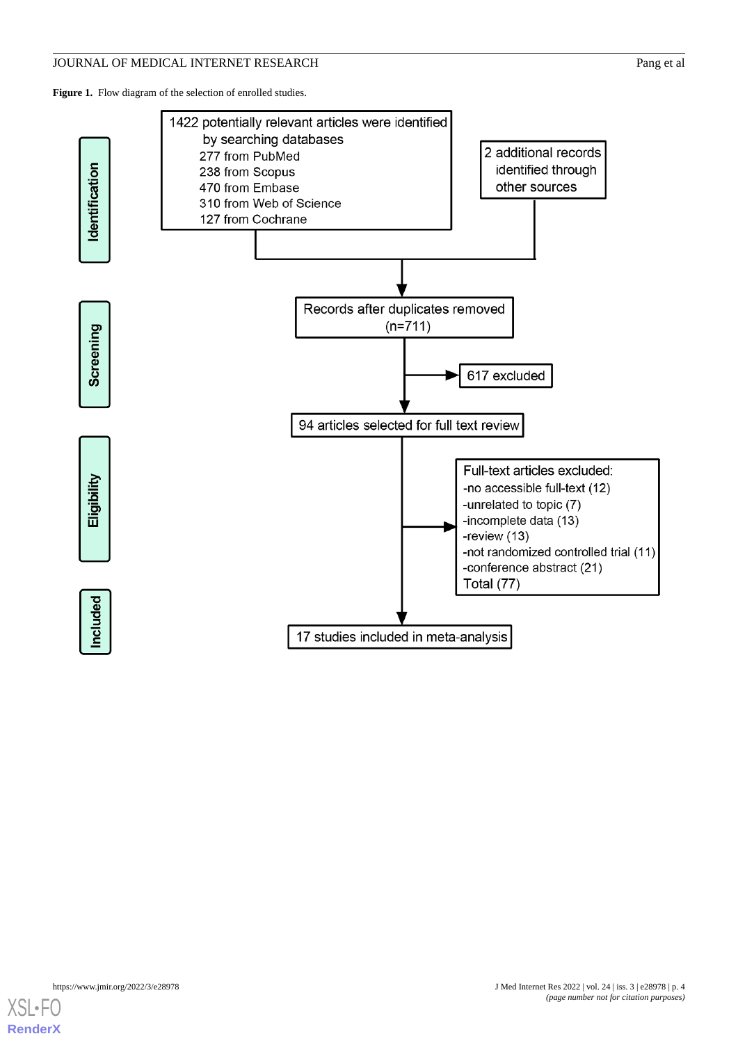<span id="page-3-0"></span>Figure 1. Flow diagram of the selection of enrolled studies.



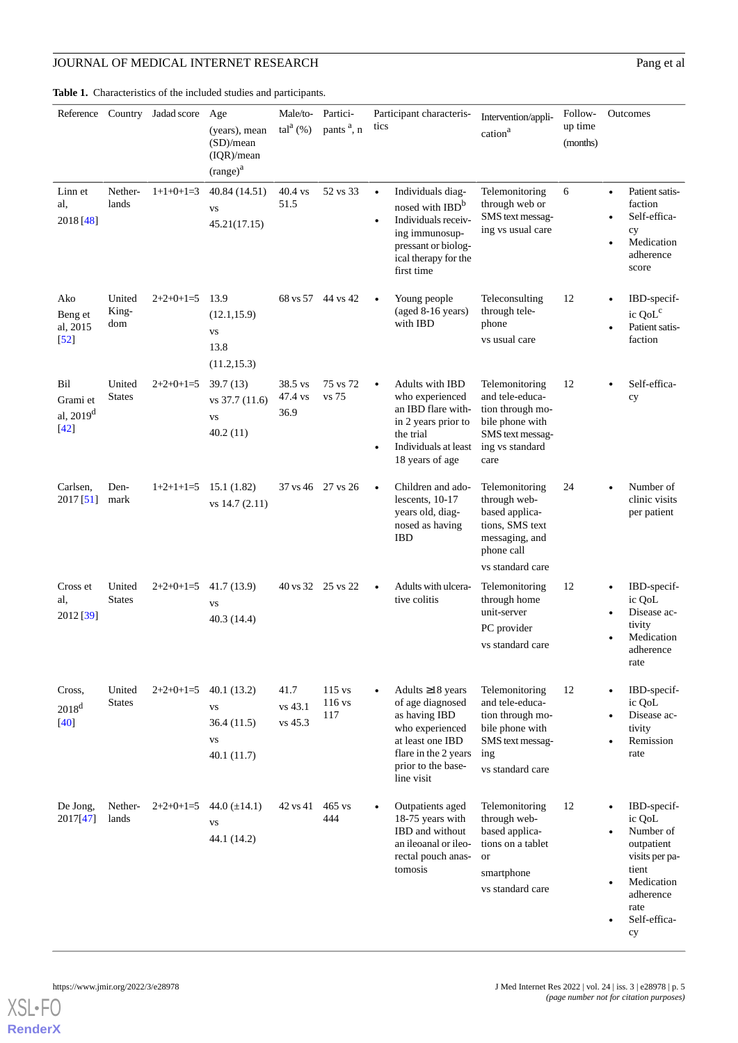<span id="page-4-0"></span>**Table 1.** Characteristics of the included studies and participants.

|                                                 |                         | Reference Country Jadad score | Age<br>(years), mean<br>(SD)/mean<br>(IQR)/mean<br>$(range)^a$   | Male/to-<br>$\text{tal}^{\text{a}}(\%)$ | Partici-<br>pants <sup>a</sup> , n | Participant characteris-<br>tics                                                                                                                                    | Intervention/appli-<br>cation <sup>a</sup>                                                                              | Follow-<br>up time<br>(months) | Outcomes                                                                                                                             |
|-------------------------------------------------|-------------------------|-------------------------------|------------------------------------------------------------------|-----------------------------------------|------------------------------------|---------------------------------------------------------------------------------------------------------------------------------------------------------------------|-------------------------------------------------------------------------------------------------------------------------|--------------------------------|--------------------------------------------------------------------------------------------------------------------------------------|
| Linn et<br>al,<br>2018 [48]                     | Nether-<br>lands        | $1+1+0+1=3$                   | 40.84 (14.51)<br><b>VS</b><br>45.21(17.15)                       | 40.4 vs<br>51.5                         | 52 vs 33                           | Individuals diag-<br>$\bullet$<br>nosed with IBD <sup>b</sup><br>Individuals receiv-<br>ing immunosup-<br>pressant or biolog-<br>ical therapy for the<br>first time | Telemonitoring<br>through web or<br>SMS text messag-<br>ing vs usual care                                               | 6                              | Patient satis-<br>$\bullet$<br>faction<br>Self-effica-<br>cy<br>Medication<br>adherence<br>score                                     |
| Ako<br>Beng et<br>al, 2015<br>$\left[52\right]$ | United<br>King-<br>dom  | $2+2+0+1=5$                   | 13.9<br>(12.1, 15.9)<br><b>VS</b><br>13.8<br>(11.2, 15.3)        |                                         | 68 vs 57 44 vs 42                  | Young people<br>(aged 8-16 years)<br>with IBD                                                                                                                       | Teleconsulting<br>through tele-<br>phone<br>vs usual care                                                               | 12                             | IBD-specif-<br>ic QoL <sup>c</sup><br>Patient satis-<br>faction                                                                      |
| Bil<br>Grami et<br>al, $2019^d$<br>$[42]$       | United<br><b>States</b> | $2+2+0+1=5$                   | 39.7(13)<br>vs 37.7 (11.6)<br><b>VS</b><br>40.2(11)              | 38.5 vs<br>47.4 vs<br>36.9              | 75 vs 72<br>vs 75                  | <b>Adults with IBD</b><br>$\bullet$<br>who experienced<br>an IBD flare with-<br>in 2 years prior to<br>the trial<br>Individuals at least<br>18 years of age         | Telemonitoring<br>and tele-educa-<br>tion through mo-<br>bile phone with<br>SMS text messag-<br>ing vs standard<br>care | 12                             | Self-effica-<br>cy                                                                                                                   |
| Carlsen,<br>2017 [51]                           | Den-<br>mark            | $1+2+1+1=5$                   | 15.1(1.82)<br>vs $14.7(2.11)$                                    |                                         | 37 vs 46 27 vs 26                  | Children and ado-<br>$\bullet$<br>lescents, 10-17<br>years old, diag-<br>nosed as having<br><b>IBD</b>                                                              | Telemonitoring<br>through web-<br>based applica-<br>tions, SMS text<br>messaging, and<br>phone call<br>vs standard care | 24                             | Number of<br>clinic visits<br>per patient                                                                                            |
| Cross et<br>al.<br>2012 [39]                    | United<br><b>States</b> | $2+2+0+1=5$                   | 41.7 (13.9)<br>VS<br>40.3 (14.4)                                 |                                         | 40 vs 32 25 vs 22                  | Adults with ulcera-<br>$\bullet$<br>tive colitis                                                                                                                    | Telemonitoring<br>through home<br>unit-server<br>PC provider<br>vs standard care                                        | 12                             | IBD-specif-<br>ic QoL<br>Disease ac-<br>tivity<br>Medication<br>adherence<br>rate                                                    |
| Cross,<br>$2018^d$<br>$[40]$                    | United<br><b>States</b> | $2+2+0+1=5$                   | 40.1(13.2)<br><b>VS</b><br>36.4(11.5)<br><b>VS</b><br>40.1(11.7) | 41.7<br>vs 43.1<br>vs 45.3              | 115 vs<br>116 vs<br>117            | Adults $\geq$ 18 years<br>of age diagnosed<br>as having IBD<br>who experienced<br>at least one IBD<br>flare in the 2 years<br>prior to the base-<br>line visit      | Telemonitoring<br>and tele-educa-<br>tion through mo-<br>bile phone with<br>SMS text messag-<br>ing<br>vs standard care | 12                             | IBD-specif-<br>ic QoL<br>Disease ac-<br>tivity<br>Remission<br>rate                                                                  |
| De Jong,<br>2017[47]                            | Nether-<br>lands        | $2+2+0+1=5$                   | 44.0 $(\pm 14.1)$<br><b>VS</b><br>44.1 (14.2)                    | 42 vs 41                                | $465$ vs<br>444                    | Outpatients aged<br>18-75 years with<br>IBD and without<br>an ileoanal or ileo-<br>rectal pouch anas-<br>tomosis                                                    | Telemonitoring<br>through web-<br>based applica-<br>tions on a tablet<br><b>or</b><br>smartphone<br>vs standard care    | 12                             | IBD-specif-<br>ic QoL<br>Number of<br>outpatient<br>visits per pa-<br>tient<br>Medication<br>adherence<br>rate<br>Self-effica-<br>cy |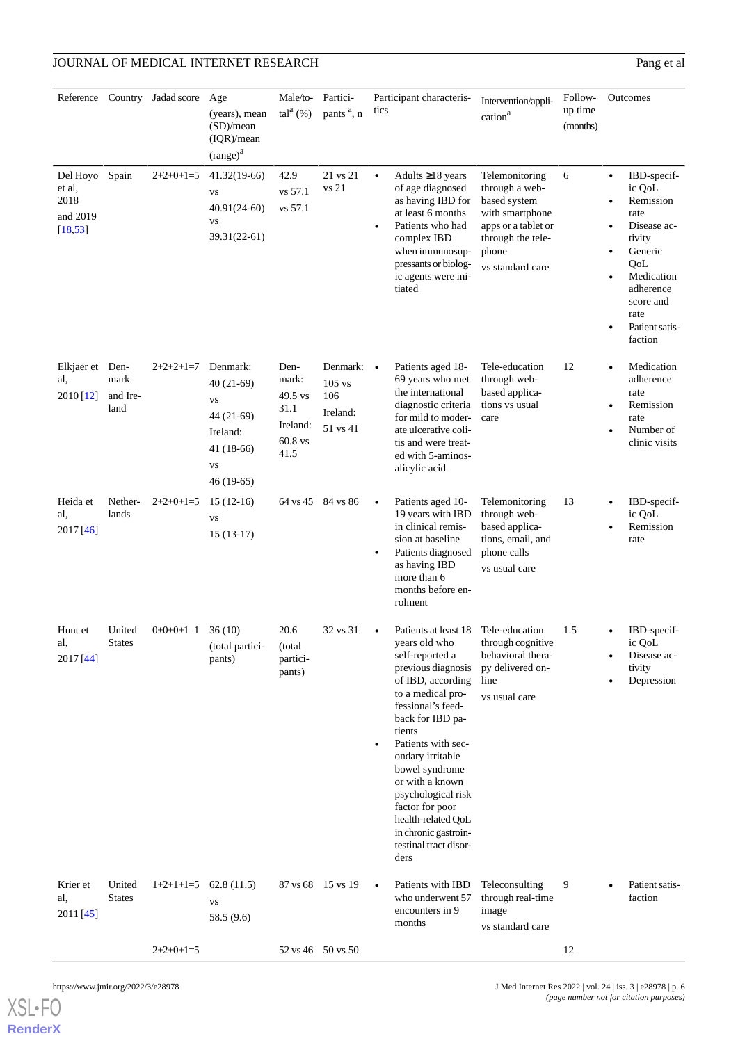|                                                    |                                  | Reference Country Jadad score | Age                                                                                                       | Male/to-                                                        | Partici-                                                      | Participant characteris-                                                                                                                                                                                                                                                                                                                                                                                       | Intervention/appli-                                                                                                                          | Follow-             | Outcomes                                                                                                                                                                                                                    |
|----------------------------------------------------|----------------------------------|-------------------------------|-----------------------------------------------------------------------------------------------------------|-----------------------------------------------------------------|---------------------------------------------------------------|----------------------------------------------------------------------------------------------------------------------------------------------------------------------------------------------------------------------------------------------------------------------------------------------------------------------------------------------------------------------------------------------------------------|----------------------------------------------------------------------------------------------------------------------------------------------|---------------------|-----------------------------------------------------------------------------------------------------------------------------------------------------------------------------------------------------------------------------|
|                                                    |                                  |                               | (years), mean<br>(SD)/mean<br>(IQR)/mean<br>$(range)^{a}$                                                 | $\text{tal}^{\text{a}}(\%)$                                     | pants <sup>a</sup> , n                                        | tics                                                                                                                                                                                                                                                                                                                                                                                                           | cation <sup>a</sup>                                                                                                                          | up time<br>(months) |                                                                                                                                                                                                                             |
| Del Hoyo<br>et al,<br>2018<br>and 2019<br>[18, 53] | Spain                            | $2+2+0+1=5$                   | 41.32(19-66)<br><b>VS</b><br>$40.91(24-60)$<br><b>VS</b><br>39.31(22-61)                                  | 42.9<br>vs 57.1<br>vs 57.1                                      | 21 vs 21<br>vs 21                                             | Adults $\geq$ 18 years<br>$\bullet$<br>of age diagnosed<br>as having IBD for<br>at least 6 months<br>Patients who had<br>$\bullet$<br>complex IBD<br>when immunosup-<br>pressants or biolog-<br>ic agents were ini-<br>tiated                                                                                                                                                                                  | Telemonitoring<br>through a web-<br>based system<br>with smartphone<br>apps or a tablet or<br>through the tele-<br>phone<br>vs standard care | 6                   | IBD-specif-<br>$\bullet$<br>ic QoL<br>Remission<br>$\bullet$<br>rate<br>Disease ac-<br>$\bullet$<br>tivity<br>Generic<br>٠<br>QoL<br>Medication<br>$\bullet$<br>adherence<br>score and<br>rate<br>Patient satis-<br>faction |
| Elkjaer et<br>al,<br>2010 [12]                     | Den-<br>mark<br>and Ire-<br>land | $2+2+2+1=7$                   | Denmark:<br>$40(21-69)$<br><b>VS</b><br>44 (21-69)<br>Ireland:<br>$41(18-66)$<br><b>VS</b><br>$46(19-65)$ | Den-<br>mark:<br>49.5 vs<br>31.1<br>Ireland:<br>60.8 vs<br>41.5 | Denmark: $\bullet$<br>$105$ vs<br>106<br>Ireland:<br>51 vs 41 | Patients aged 18-<br>69 years who met<br>the international<br>diagnostic criteria<br>for mild to moder-<br>ate ulcerative coli-<br>tis and were treat-<br>ed with 5-aminos-<br>alicylic acid                                                                                                                                                                                                                   | Tele-education<br>through web-<br>based applica-<br>tions vs usual<br>care                                                                   | 12                  | Medication<br>$\bullet$<br>adherence<br>rate<br>Remission<br>$\bullet$<br>rate<br>Number of<br>clinic visits                                                                                                                |
| Heida et<br>al,<br>2017 [46]                       | Nether-<br>lands                 | $2+2+0+1=5$                   | $15(12-16)$<br><b>VS</b><br>$15(13-17)$                                                                   |                                                                 | 64 vs 45 84 vs 86                                             | Patients aged 10-<br>$\bullet$<br>19 years with IBD<br>in clinical remis-<br>sion at baseline<br>Patients diagnosed<br>$\bullet$<br>as having IBD<br>more than 6<br>months before en-<br>rolment                                                                                                                                                                                                               | Telemonitoring<br>through web-<br>based applica-<br>tions, email, and<br>phone calls<br>vs usual care                                        | 13                  | IBD-specif-<br>$\bullet$<br>ic QoL<br>Remission<br>rate                                                                                                                                                                     |
| Hunt et<br>al,<br>2017 [44]                        | United<br><b>States</b>          | $0+0+0+1=1$                   | 36(10)<br>(total partici-<br>pants)                                                                       | 20.6<br>(total<br>partici-<br>pants)                            | 32 vs 31                                                      | Patients at least 18 Tele-education<br>years old who<br>self-reported a<br>previous diagnosis<br>of IBD, according<br>to a medical pro-<br>fessional's feed-<br>back for IBD pa-<br>tients<br>Patients with sec-<br>$\bullet$<br>ondary irritable<br>bowel syndrome<br>or with a known<br>psychological risk<br>factor for poor<br>health-related QoL<br>in chronic gastroin-<br>testinal tract disor-<br>ders | through cognitive<br>behavioral thera-<br>py delivered on-<br>line<br>vs usual care                                                          | 1.5                 | IBD-specif-<br>$\bullet$<br>ic QoL<br>Disease ac-<br>tivity<br>Depression                                                                                                                                                   |
| Krier et<br>al,<br>2011 [45]                       | United<br><b>States</b>          | $1+2+1+1=5$                   | 62.8(11.5)<br><b>VS</b><br>58.5 (9.6)                                                                     |                                                                 | 87 vs 68 15 vs 19                                             | Patients with IBD<br>$\bullet$<br>who underwent 57<br>encounters in 9<br>months                                                                                                                                                                                                                                                                                                                                | Teleconsulting<br>through real-time<br>image<br>vs standard care                                                                             | 9                   | Patient satis-<br>faction                                                                                                                                                                                                   |
|                                                    |                                  | $2+2+0+1=5$                   |                                                                                                           |                                                                 | 52 vs 46 50 vs 50                                             |                                                                                                                                                                                                                                                                                                                                                                                                                |                                                                                                                                              | 12                  |                                                                                                                                                                                                                             |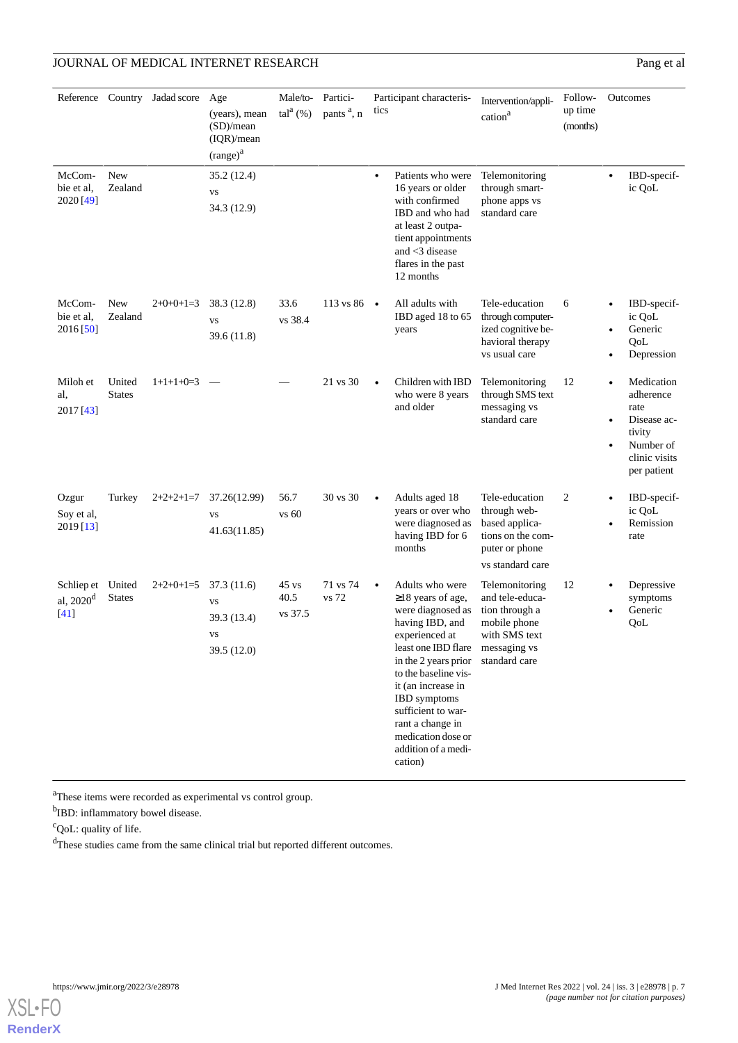| McCom-                                   | New                     | Reference Country Jadad score | Age<br>(years), mean<br>(SD)/mean<br>(IQR)/mean<br>$(range)^{a}$<br>35.2 (12.4) | Male/to-<br>$\text{tal}^{\text{a}}(\%)$ | Partici-<br>pants <sup>a</sup> , n | Participant characteris-<br>tics<br>Patients who were                                                                                                                                                                                                                                                               | Intervention/appli-<br>cation <sup>a</sup><br>Telemonitoring                                                          | Follow-<br>up time<br>(months) | Outcomes<br>IBD-specif-                                                                                                         |
|------------------------------------------|-------------------------|-------------------------------|---------------------------------------------------------------------------------|-----------------------------------------|------------------------------------|---------------------------------------------------------------------------------------------------------------------------------------------------------------------------------------------------------------------------------------------------------------------------------------------------------------------|-----------------------------------------------------------------------------------------------------------------------|--------------------------------|---------------------------------------------------------------------------------------------------------------------------------|
| bie et al.<br>2020 [49]                  | Zealand                 |                               | <b>VS</b><br>34.3 (12.9)                                                        |                                         |                                    | $\bullet$<br>16 years or older<br>with confirmed<br>IBD and who had<br>at least 2 outpa-<br>tient appointments<br>and $<$ 3 disease<br>flares in the past<br>12 months                                                                                                                                              | through smart-<br>phone apps vs<br>standard care                                                                      |                                | $\bullet$<br>ic QoL                                                                                                             |
| McCom-<br>bie et al,<br>2016 [50]        | New<br>Zealand          | $2+0+0+1=3$                   | 38.3 (12.8)<br><b>VS</b><br>39.6 (11.8)                                         | 33.6<br>vs 38.4                         | 113 vs 86 $\bullet$                | All adults with<br>IBD aged 18 to 65<br>years                                                                                                                                                                                                                                                                       | Tele-education<br>through computer-<br>ized cognitive be-<br>havioral therapy<br>vs usual care                        | 6                              | IBD-specif-<br>ic QoL<br>Generic<br>QoL<br>Depression                                                                           |
| Miloh et<br>al,<br>2017 [43]             | United<br><b>States</b> | $1+1+1+0=3$                   |                                                                                 |                                         | 21 vs 30                           | Children with IBD<br>who were 8 years<br>and older                                                                                                                                                                                                                                                                  | Telemonitoring<br>through SMS text<br>messaging vs<br>standard care                                                   | 12                             | Medication<br>$\bullet$<br>adherence<br>rate<br>Disease ac-<br>tivity<br>Number of<br>$\bullet$<br>clinic visits<br>per patient |
| Ozgur<br>Soy et al,<br>2019 [13]         | Turkey                  | $2+2+2+1=7$                   | 37.26(12.99)<br><b>VS</b><br>41.63(11.85)                                       | 56.7<br>vs 60                           | 30 vs 30                           | Adults aged 18<br>$\bullet$<br>years or over who<br>were diagnosed as<br>having IBD for 6<br>months                                                                                                                                                                                                                 | Tele-education<br>through web-<br>based applica-<br>tions on the com-<br>puter or phone<br>vs standard care           | 2                              | IBD-specif-<br>ic QoL<br>Remission<br>rate                                                                                      |
| Schliep et United<br>al, $2020d$<br>[41] | <b>States</b>           | $2+2+0+1=5$                   | 37.3 (11.6)<br><b>VS</b><br>39.3 (13.4)<br><b>VS</b><br>39.5 (12.0)             | $45 \text{ vs}$<br>40.5<br>vs 37.5      | 71 vs 74<br>vs 72                  | Adults who were<br>$\geq$ 18 years of age,<br>were diagnosed as<br>having IBD, and<br>experienced at<br>least one IBD flare<br>in the 2 years prior<br>to the baseline vis-<br>it (an increase in<br>IBD symptoms<br>sufficient to war-<br>rant a change in<br>medication dose or<br>addition of a medi-<br>cation) | Telemonitoring<br>and tele-educa-<br>tion through a<br>mobile phone<br>with SMS text<br>messaging vs<br>standard care | 12                             | Depressive<br>symptoms<br>Generic<br>QoL                                                                                        |

<sup>a</sup>These items were recorded as experimental vs control group.

<sup>b</sup>IBD: inflammatory bowel disease.

<sup>c</sup>QoL: quality of life.

<sup>d</sup>These studies came from the same clinical trial but reported different outcomes.

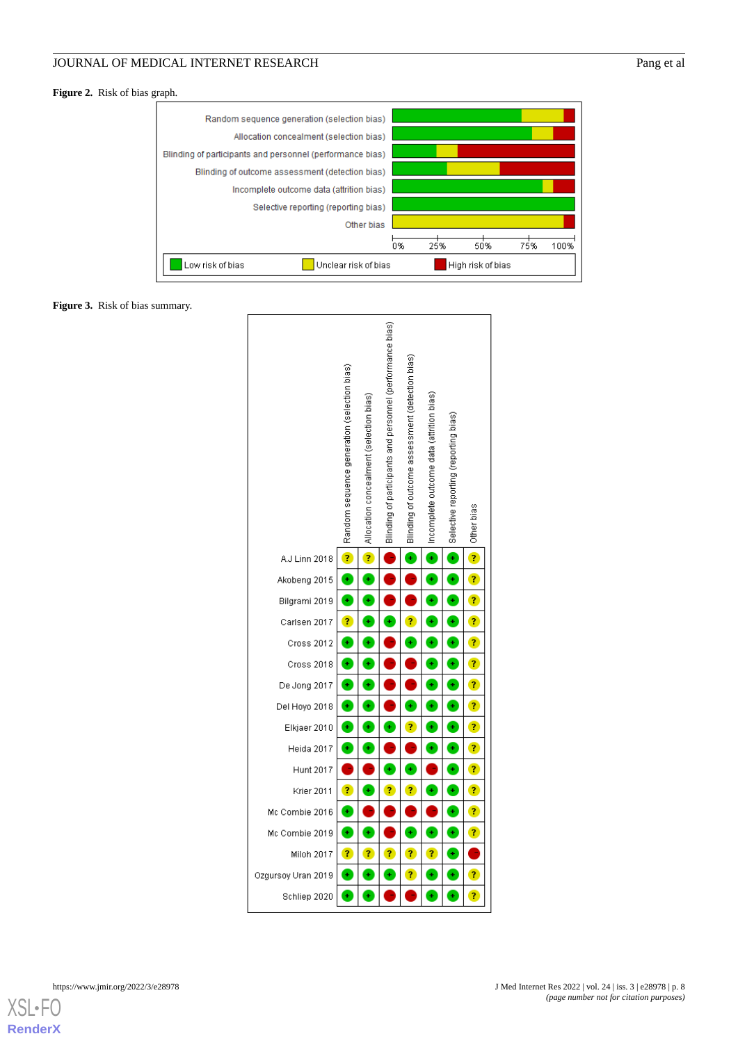<span id="page-7-0"></span>**Figure 2.** Risk of bias graph.



<span id="page-7-1"></span>**Figure 3.** Risk of bias summary.



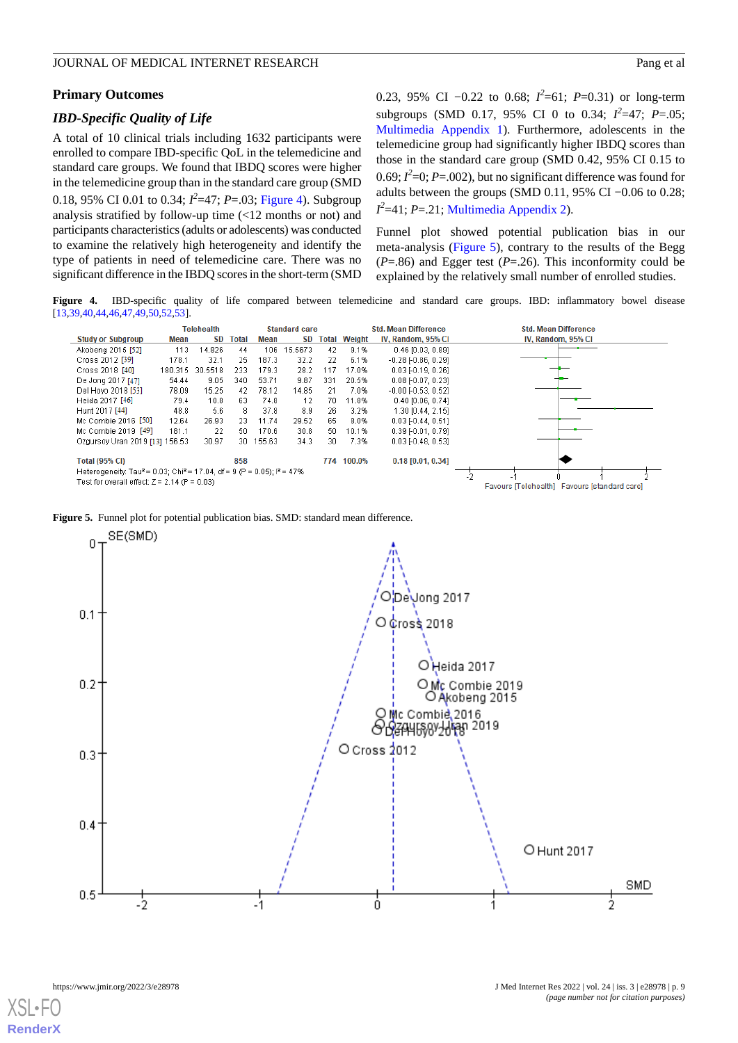#### **Primary Outcomes**

#### *IBD-Specific Quality of Life*

A total of 10 clinical trials including 1632 participants were enrolled to compare IBD-specific QoL in the telemedicine and standard care groups. We found that IBDQ scores were higher in the telemedicine group than in the standard care group (SMD 0.18, 95% CI 0.01 to 0.34; *I 2* =47; *P*=.03; [Figure 4](#page-8-0)). Subgroup analysis stratified by follow-up time (<12 months or not) and participants characteristics (adults or adolescents) was conducted to examine the relatively high heterogeneity and identify the type of patients in need of telemedicine care. There was no significant difference in the IBDQ scores in the short-term (SMD 0.23, 95% CI −0.22 to 0.68;  $I^2$ =61; *P*=0.31) or long-term subgroups (SMD 0.17, 95% CI 0 to 0.34;  $I^2=47$ ;  $P=.05$ ; [Multimedia Appendix 1\)](#page-10-0). Furthermore, adolescents in the telemedicine group had significantly higher IBDQ scores than those in the standard care group (SMD 0.42, 95% CI 0.15 to 0.69;  $I^2$ =0;  $P$ =.002), but no significant difference was found for adults between the groups (SMD 0.11, 95% CI −0.06 to 0.28;  $I^2$ =41; *P*=.21; [Multimedia Appendix 2](#page-11-8)).

Funnel plot showed potential publication bias in our meta-analysis ([Figure 5](#page-8-1)), contrary to the results of the Begg  $(P=.86)$  and Egger test  $(P=.26)$ . This inconformity could be explained by the relatively small number of enrolled studies.

<span id="page-8-0"></span>**Figure 4.** IBD-specific quality of life compared between telemedicine and standard care groups. IBD: inflammatory bowel disease [\[13,](#page-12-13)[39](#page-13-7),[40](#page-13-15)[,44,](#page-13-17)[46](#page-13-9)[,47](#page-13-16)[,49,](#page-13-11)[50](#page-13-12)[,52,](#page-14-0)[53\]](#page-14-1).



<span id="page-8-1"></span>



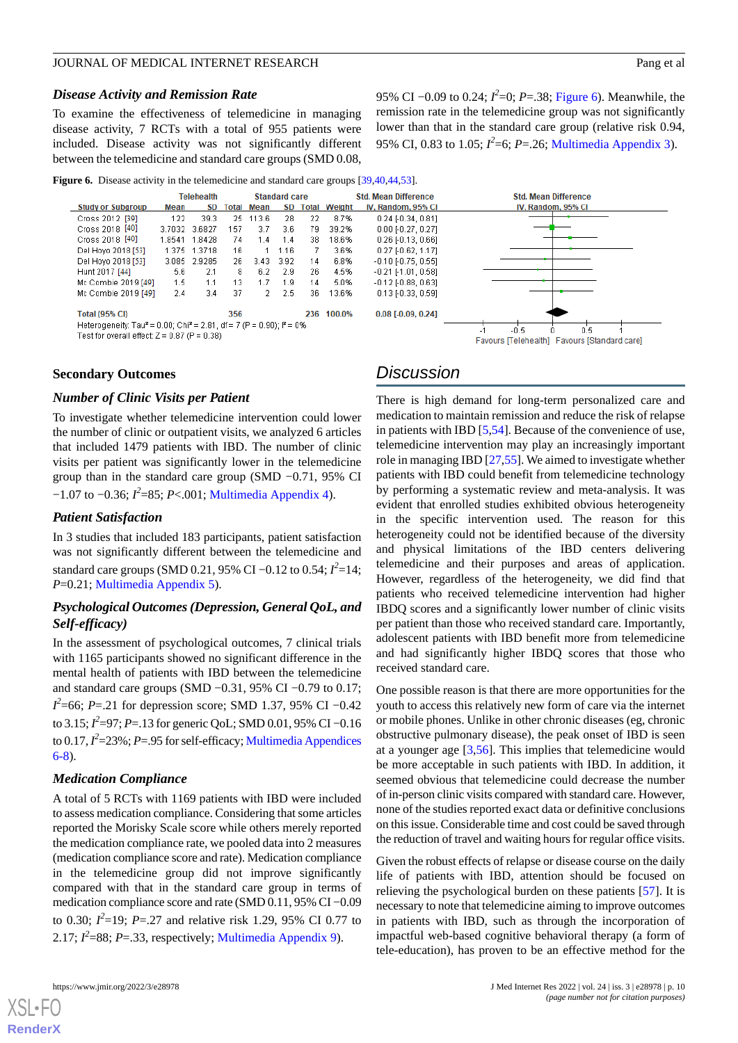#### *Disease Activity and Remission Rate*

To examine the effectiveness of telemedicine in managing disease activity, 7 RCTs with a total of 955 patients were included. Disease activity was not significantly different between the telemedicine and standard care groups (SMD 0.08,

95% CI –0.09 to 0.24;  $I^2$ =0; *P*=.38; [Figure 6](#page-9-0)). Meanwhile, the remission rate in the telemedicine group was not significantly lower than that in the standard care group (relative risk 0.94, 95% CI, 0.83 to 1.05; *I 2* =6; *P*=.26; [Multimedia Appendix 3\)](#page-11-9).

<span id="page-9-0"></span>**Figure 6.** Disease activity in the telemedicine and standard care groups [[39](#page-13-7)[,40,](#page-13-15)[44](#page-13-17),[53](#page-14-1)].



#### **Secondary Outcomes**

#### *Number of Clinic Visits per Patient*

To investigate whether telemedicine intervention could lower the number of clinic or outpatient visits, we analyzed 6 articles that included 1479 patients with IBD. The number of clinic visits per patient was significantly lower in the telemedicine group than in the standard care group (SMD −0.71, 95% CI −1.07 to −0.36; *I 2* =85; *P*<.001; [Multimedia Appendix 4](#page-11-10)).

#### *Patient Satisfaction*

In 3 studies that included 183 participants, patient satisfaction was not significantly different between the telemedicine and standard care groups (SMD 0.21, 95% CI –0.12 to 0.54;  $I^2$ =14; *P*=0.21; [Multimedia Appendix 5](#page-11-11)).

### *Psychological Outcomes (Depression, General QoL, and Self-efficacy)*

In the assessment of psychological outcomes, 7 clinical trials with 1165 participants showed no significant difference in the mental health of patients with IBD between the telemedicine and standard care groups (SMD −0.31, 95% CI −0.79 to 0.17; *I*<sup>2</sup>=66; *P*=.21 for depression score; SMD 1.37, 95% CI −0.42 to 3.15; *I 2* =97; *P*=.13 for generic QoL; SMD 0.01, 95% CI −0.16 to 0.17, *I 2* =23%; *P*=.95 for self-efficacy; [Multimedia Appendices](#page-11-12) [6-8\)](#page-11-12).

#### *Medication Compliance*

A total of 5 RCTs with 1169 patients with IBD were included to assess medication compliance. Considering that some articles reported the Morisky Scale score while others merely reported the medication compliance rate, we pooled data into 2 measures (medication compliance score and rate). Medication compliance in the telemedicine group did not improve significantly compared with that in the standard care group in terms of medication compliance score and rate (SMD 0.11, 95% CI −0.09 to 0.30;  $I^2=19$ ;  $P=.27$  and relative risk 1.29, 95% CI 0.77 to 2.17;  $I^2$ =88;  $P$ =.33, respectively; [Multimedia Appendix 9\)](#page-11-13).

[XSL](http://www.w3.org/Style/XSL)•FO **[RenderX](http://www.renderx.com/)**

# *Discussion*

There is high demand for long-term personalized care and medication to maintain remission and reduce the risk of relapse in patients with IBD [\[5](#page-11-4),[54\]](#page-14-2). Because of the convenience of use, telemedicine intervention may play an increasingly important role in managing IBD [[27,](#page-12-10)[55](#page-14-3)]. We aimed to investigate whether patients with IBD could benefit from telemedicine technology by performing a systematic review and meta-analysis. It was evident that enrolled studies exhibited obvious heterogeneity in the specific intervention used. The reason for this heterogeneity could not be identified because of the diversity and physical limitations of the IBD centers delivering telemedicine and their purposes and areas of application. However, regardless of the heterogeneity, we did find that patients who received telemedicine intervention had higher IBDQ scores and a significantly lower number of clinic visits per patient than those who received standard care. Importantly, adolescent patients with IBD benefit more from telemedicine and had significantly higher IBDQ scores that those who received standard care.

One possible reason is that there are more opportunities for the youth to access this relatively new form of care via the internet or mobile phones. Unlike in other chronic diseases (eg, chronic obstructive pulmonary disease), the peak onset of IBD is seen at a younger age [[3](#page-11-2)[,56](#page-14-4)]. This implies that telemedicine would be more acceptable in such patients with IBD. In addition, it seemed obvious that telemedicine could decrease the number of in-person clinic visits compared with standard care. However, none of the studies reported exact data or definitive conclusions on this issue. Considerable time and cost could be saved through the reduction of travel and waiting hours for regular office visits.

Given the robust effects of relapse or disease course on the daily life of patients with IBD, attention should be focused on relieving the psychological burden on these patients [[57\]](#page-14-5). It is necessary to note that telemedicine aiming to improve outcomes in patients with IBD, such as through the incorporation of impactful web-based cognitive behavioral therapy (a form of tele-education), has proven to be an effective method for the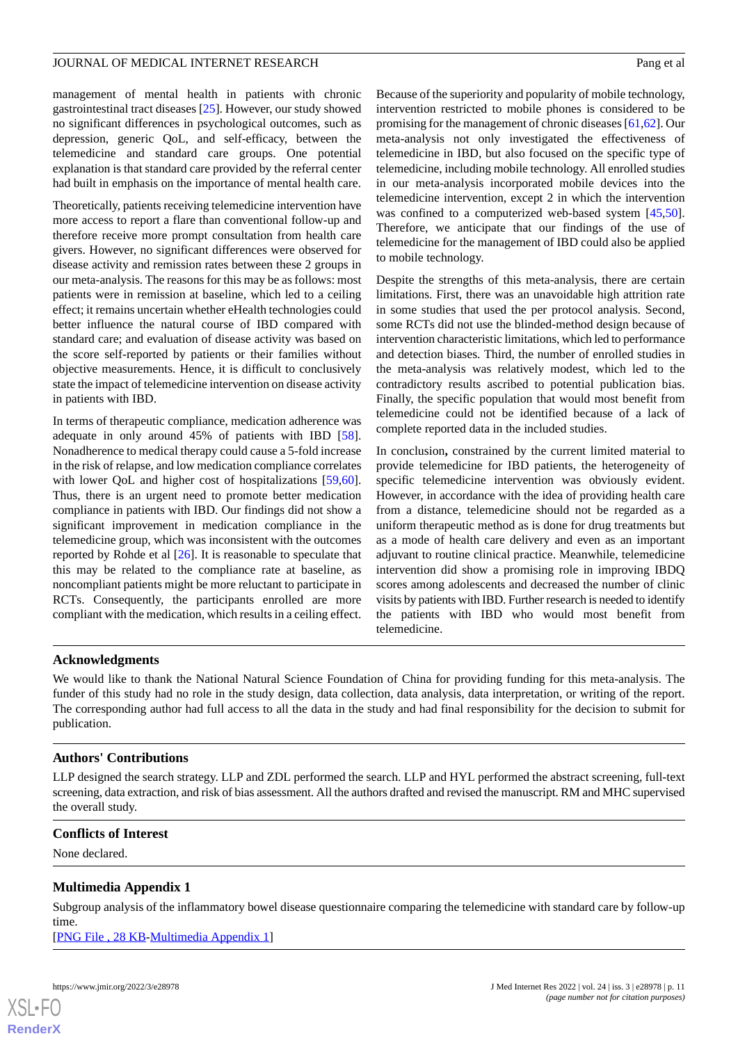management of mental health in patients with chronic gastrointestinal tract diseases [[25\]](#page-12-15). However, our study showed no significant differences in psychological outcomes, such as depression, generic QoL, and self-efficacy, between the telemedicine and standard care groups. One potential explanation is that standard care provided by the referral center had built in emphasis on the importance of mental health care.

Theoretically, patients receiving telemedicine intervention have more access to report a flare than conventional follow-up and therefore receive more prompt consultation from health care givers. However, no significant differences were observed for disease activity and remission rates between these 2 groups in our meta-analysis. The reasons for this may be as follows: most patients were in remission at baseline, which led to a ceiling effect; it remains uncertain whether eHealth technologies could better influence the natural course of IBD compared with standard care; and evaluation of disease activity was based on the score self-reported by patients or their families without objective measurements. Hence, it is difficult to conclusively state the impact of telemedicine intervention on disease activity in patients with IBD.

In terms of therapeutic compliance, medication adherence was adequate in only around 45% of patients with IBD [[58\]](#page-14-6). Nonadherence to medical therapy could cause a 5-fold increase in the risk of relapse, and low medication compliance correlates with lower QoL and higher cost of hospitalizations [\[59](#page-14-7),[60\]](#page-14-8). Thus, there is an urgent need to promote better medication compliance in patients with IBD. Our findings did not show a significant improvement in medication compliance in the telemedicine group, which was inconsistent with the outcomes reported by Rohde et al  $[26]$  $[26]$ . It is reasonable to speculate that this may be related to the compliance rate at baseline, as noncompliant patients might be more reluctant to participate in RCTs. Consequently, the participants enrolled are more compliant with the medication, which results in a ceiling effect.

Because of the superiority and popularity of mobile technology, intervention restricted to mobile phones is considered to be promising for the management of chronic diseases [[61,](#page-14-9)[62\]](#page-14-10). Our meta-analysis not only investigated the effectiveness of telemedicine in IBD, but also focused on the specific type of telemedicine, including mobile technology. All enrolled studies in our meta-analysis incorporated mobile devices into the telemedicine intervention, except 2 in which the intervention was confined to a computerized web-based system [\[45](#page-13-8),[50\]](#page-13-12). Therefore, we anticipate that our findings of the use of telemedicine for the management of IBD could also be applied to mobile technology.

Despite the strengths of this meta-analysis, there are certain limitations. First, there was an unavoidable high attrition rate in some studies that used the per protocol analysis. Second, some RCTs did not use the blinded-method design because of intervention characteristic limitations, which led to performance and detection biases. Third, the number of enrolled studies in the meta-analysis was relatively modest, which led to the contradictory results ascribed to potential publication bias. Finally, the specific population that would most benefit from telemedicine could not be identified because of a lack of complete reported data in the included studies.

In conclusion**,** constrained by the current limited material to provide telemedicine for IBD patients, the heterogeneity of specific telemedicine intervention was obviously evident. However, in accordance with the idea of providing health care from a distance, telemedicine should not be regarded as a uniform therapeutic method as is done for drug treatments but as a mode of health care delivery and even as an important adjuvant to routine clinical practice. Meanwhile, telemedicine intervention did show a promising role in improving IBDQ scores among adolescents and decreased the number of clinic visits by patients with IBD. Further research is needed to identify the patients with IBD who would most benefit from telemedicine.

# **Acknowledgments**

We would like to thank the National Natural Science Foundation of China for providing funding for this meta-analysis. The funder of this study had no role in the study design, data collection, data analysis, data interpretation, or writing of the report. The corresponding author had full access to all the data in the study and had final responsibility for the decision to submit for publication.

# **Authors' Contributions**

<span id="page-10-0"></span>LLP designed the search strategy. LLP and ZDL performed the search. LLP and HYL performed the abstract screening, full-text screening, data extraction, and risk of bias assessment. All the authors drafted and revised the manuscript. RM and MHC supervised the overall study.

# **Conflicts of Interest**

None declared.

# **Multimedia Appendix 1**

Subgroup analysis of the inflammatory bowel disease questionnaire comparing the telemedicine with standard care by follow-up time.

[[PNG File , 28 KB-Multimedia Appendix 1](https://jmir.org/api/download?alt_name=jmir_v24i3e28978_app1.png&filename=c7d8aed7472604371333a555494868f1.png)]

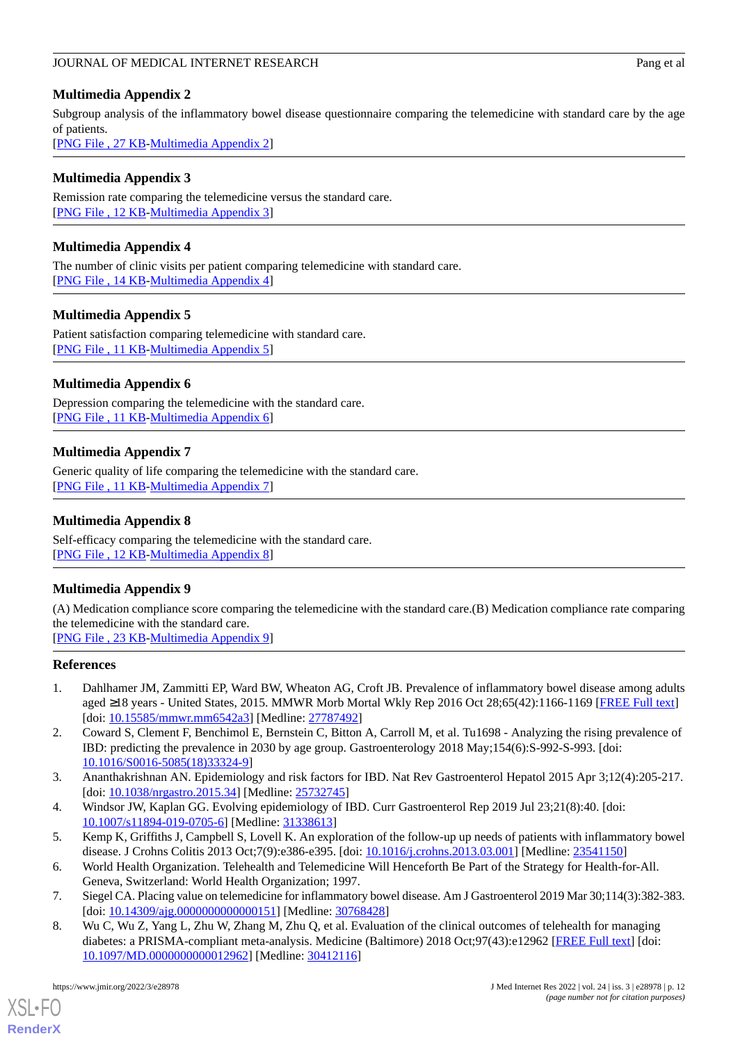# <span id="page-11-8"></span>**Multimedia Appendix 2**

Subgroup analysis of the inflammatory bowel disease questionnaire comparing the telemedicine with standard care by the age of patients.

[[PNG File , 27 KB-Multimedia Appendix 2](https://jmir.org/api/download?alt_name=jmir_v24i3e28978_app2.png&filename=d09ab95cfaf0b959471857991f1a0363.png)]

# <span id="page-11-9"></span>**Multimedia Appendix 3**

<span id="page-11-10"></span>Remission rate comparing the telemedicine versus the standard care. [[PNG File , 12 KB-Multimedia Appendix 3](https://jmir.org/api/download?alt_name=jmir_v24i3e28978_app3.png&filename=9f4870a1615a71fcb696bf1048576d1f.png)]

# **Multimedia Appendix 4**

<span id="page-11-11"></span>The number of clinic visits per patient comparing telemedicine with standard care. [[PNG File , 14 KB-Multimedia Appendix 4](https://jmir.org/api/download?alt_name=jmir_v24i3e28978_app4.png&filename=1457b54a268c39508f5ac059f7ee2d55.png)]

# **Multimedia Appendix 5**

<span id="page-11-12"></span>Patient satisfaction comparing telemedicine with standard care. [PNG File, 11 KB-Multimedia Appendix 5]

# **Multimedia Appendix 6**

Depression comparing the telemedicine with the standard care. [[PNG File , 11 KB-Multimedia Appendix 6](https://jmir.org/api/download?alt_name=jmir_v24i3e28978_app6.png&filename=098179f553455fe9a8c10bc7a9b4eed8.png)]

# **Multimedia Appendix 7**

Generic quality of life comparing the telemedicine with the standard care. [[PNG File , 11 KB-Multimedia Appendix 7](https://jmir.org/api/download?alt_name=jmir_v24i3e28978_app7.png&filename=37fdcb15fef5a5cd21c608c52aa1dfc5.png)]

# **Multimedia Appendix 8**

<span id="page-11-13"></span>Self-efficacy comparing the telemedicine with the standard care. [[PNG File , 12 KB-Multimedia Appendix 8](https://jmir.org/api/download?alt_name=jmir_v24i3e28978_app8.png&filename=25ed7cf5f5d115d345aa5757846d83e0.png)]

# **Multimedia Appendix 9**

<span id="page-11-0"></span>(A) Medication compliance score comparing the telemedicine with the standard care.(B) Medication compliance rate comparing the telemedicine with the standard care.

[[PNG File , 23 KB-Multimedia Appendix 9](https://jmir.org/api/download?alt_name=jmir_v24i3e28978_app9.png&filename=0d202843f9a62df53d0b5cce702d0dfc.png)]

# <span id="page-11-1"></span>**References**

- <span id="page-11-2"></span>1. Dahlhamer JM, Zammitti EP, Ward BW, Wheaton AG, Croft JB. Prevalence of inflammatory bowel disease among adults aged ≥18 years - United States, 2015. MMWR Morb Mortal Wkly Rep 2016 Oct 28;65(42):1166-1169 [[FREE Full text](https://doi.org/10.15585/mmwr.mm6542a3)] [doi: [10.15585/mmwr.mm6542a3](http://dx.doi.org/10.15585/mmwr.mm6542a3)] [Medline: [27787492](http://www.ncbi.nlm.nih.gov/entrez/query.fcgi?cmd=Retrieve&db=PubMed&list_uids=27787492&dopt=Abstract)]
- <span id="page-11-4"></span><span id="page-11-3"></span>2. Coward S, Clement F, Benchimol E, Bernstein C, Bitton A, Carroll M, et al. Tu1698 - Analyzing the rising prevalence of IBD: predicting the prevalence in 2030 by age group. Gastroenterology 2018 May;154(6):S-992-S-993. [doi: [10.1016/S0016-5085\(18\)33324-9\]](http://dx.doi.org/10.1016/S0016-5085(18)33324-9)
- <span id="page-11-5"></span>3. Ananthakrishnan AN. Epidemiology and risk factors for IBD. Nat Rev Gastroenterol Hepatol 2015 Apr 3;12(4):205-217. [doi: [10.1038/nrgastro.2015.34\]](http://dx.doi.org/10.1038/nrgastro.2015.34) [Medline: [25732745](http://www.ncbi.nlm.nih.gov/entrez/query.fcgi?cmd=Retrieve&db=PubMed&list_uids=25732745&dopt=Abstract)]
- <span id="page-11-6"></span>4. Windsor JW, Kaplan GG. Evolving epidemiology of IBD. Curr Gastroenterol Rep 2019 Jul 23;21(8):40. [doi: [10.1007/s11894-019-0705-6\]](http://dx.doi.org/10.1007/s11894-019-0705-6) [Medline: [31338613](http://www.ncbi.nlm.nih.gov/entrez/query.fcgi?cmd=Retrieve&db=PubMed&list_uids=31338613&dopt=Abstract)]
- <span id="page-11-7"></span>5. Kemp K, Griffiths J, Campbell S, Lovell K. An exploration of the follow-up up needs of patients with inflammatory bowel disease. J Crohns Colitis 2013 Oct;7(9):e386-e395. [doi: [10.1016/j.crohns.2013.03.001\]](http://dx.doi.org/10.1016/j.crohns.2013.03.001) [Medline: [23541150\]](http://www.ncbi.nlm.nih.gov/entrez/query.fcgi?cmd=Retrieve&db=PubMed&list_uids=23541150&dopt=Abstract)
- 6. World Health Organization. Telehealth and Telemedicine Will Henceforth Be Part of the Strategy for Health-for-All. Geneva, Switzerland: World Health Organization; 1997.
- 7. Siegel CA. Placing value on telemedicine for inflammatory bowel disease. Am J Gastroenterol 2019 Mar 30;114(3):382-383. [doi: [10.14309/ajg.0000000000000151\]](http://dx.doi.org/10.14309/ajg.0000000000000151) [Medline: [30768428\]](http://www.ncbi.nlm.nih.gov/entrez/query.fcgi?cmd=Retrieve&db=PubMed&list_uids=30768428&dopt=Abstract)
- 8. Wu C, Wu Z, Yang L, Zhu W, Zhang M, Zhu Q, et al. Evaluation of the clinical outcomes of telehealth for managing diabetes: a PRISMA-compliant meta-analysis. Medicine (Baltimore) 2018 Oct;97(43):e12962 [\[FREE Full text\]](https://doi.org/10.1097/MD.0000000000012962) [doi: [10.1097/MD.0000000000012962](http://dx.doi.org/10.1097/MD.0000000000012962)] [Medline: [30412116](http://www.ncbi.nlm.nih.gov/entrez/query.fcgi?cmd=Retrieve&db=PubMed&list_uids=30412116&dopt=Abstract)]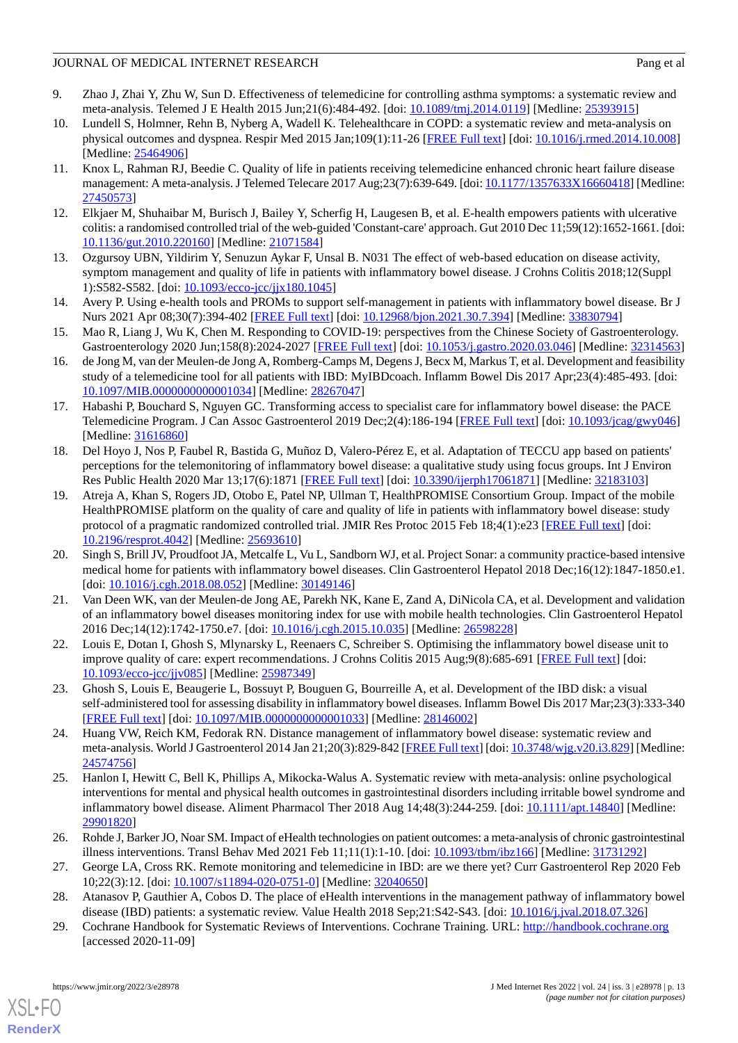- 9. Zhao J, Zhai Y, Zhu W, Sun D. Effectiveness of telemedicine for controlling asthma symptoms: a systematic review and meta-analysis. Telemed J E Health 2015 Jun;21(6):484-492. [doi: [10.1089/tmj.2014.0119](http://dx.doi.org/10.1089/tmj.2014.0119)] [Medline: [25393915](http://www.ncbi.nlm.nih.gov/entrez/query.fcgi?cmd=Retrieve&db=PubMed&list_uids=25393915&dopt=Abstract)]
- 10. Lundell S, Holmner, Rehn B, Nyberg A, Wadell K. Telehealthcare in COPD: a systematic review and meta-analysis on physical outcomes and dyspnea. Respir Med 2015 Jan;109(1):11-26 [\[FREE Full text\]](https://linkinghub.elsevier.com/retrieve/pii/S0954-6111(14)00358-8) [doi: [10.1016/j.rmed.2014.10.008\]](http://dx.doi.org/10.1016/j.rmed.2014.10.008) [Medline: [25464906](http://www.ncbi.nlm.nih.gov/entrez/query.fcgi?cmd=Retrieve&db=PubMed&list_uids=25464906&dopt=Abstract)]
- <span id="page-12-0"></span>11. Knox L, Rahman RJ, Beedie C. Quality of life in patients receiving telemedicine enhanced chronic heart failure disease management: A meta-analysis. J Telemed Telecare 2017 Aug;23(7):639-649. [doi: [10.1177/1357633X16660418](http://dx.doi.org/10.1177/1357633X16660418)] [Medline: [27450573](http://www.ncbi.nlm.nih.gov/entrez/query.fcgi?cmd=Retrieve&db=PubMed&list_uids=27450573&dopt=Abstract)]
- <span id="page-12-13"></span><span id="page-12-1"></span>12. Elkjaer M, Shuhaibar M, Burisch J, Bailey Y, Scherfig H, Laugesen B, et al. E-health empowers patients with ulcerative colitis: a randomised controlled trial of the web-guided 'Constant-care' approach. Gut 2010 Dec 11;59(12):1652-1661. [doi: [10.1136/gut.2010.220160\]](http://dx.doi.org/10.1136/gut.2010.220160) [Medline: [21071584](http://www.ncbi.nlm.nih.gov/entrez/query.fcgi?cmd=Retrieve&db=PubMed&list_uids=21071584&dopt=Abstract)]
- <span id="page-12-2"></span>13. Ozgursoy UBN, Yildirim Y, Senuzun Aykar F, Unsal B. N031 The effect of web-based education on disease activity, symptom management and quality of life in patients with inflammatory bowel disease. J Crohns Colitis 2018;12(Suppl 1):S582-S582. [doi: [10.1093/ecco-jcc/jjx180.1045\]](http://dx.doi.org/10.1093/ecco-jcc/jjx180.1045)
- <span id="page-12-3"></span>14. Avery P. Using e-health tools and PROMs to support self-management in patients with inflammatory bowel disease. Br J Nurs 2021 Apr 08;30(7):394-402 [\[FREE Full text\]](https://www.magonlinelibrary.com/doi/abs/10.12968/bjon.2021.30.7.394?url_ver=Z39.88-2003&rfr_id=ori:rid:crossref.org&rfr_dat=cr_pub%3dpubmed) [doi: [10.12968/bjon.2021.30.7.394](http://dx.doi.org/10.12968/bjon.2021.30.7.394)] [Medline: [33830794\]](http://www.ncbi.nlm.nih.gov/entrez/query.fcgi?cmd=Retrieve&db=PubMed&list_uids=33830794&dopt=Abstract)
- <span id="page-12-4"></span>15. Mao R, Liang J, Wu K, Chen M. Responding to COVID-19: perspectives from the Chinese Society of Gastroenterology. Gastroenterology 2020 Jun;158(8):2024-2027 [\[FREE Full text\]](http://europepmc.org/abstract/MED/32314563) [doi: [10.1053/j.gastro.2020.03.046](http://dx.doi.org/10.1053/j.gastro.2020.03.046)] [Medline: [32314563](http://www.ncbi.nlm.nih.gov/entrez/query.fcgi?cmd=Retrieve&db=PubMed&list_uids=32314563&dopt=Abstract)]
- 16. de Jong M, van der Meulen-de Jong A, Romberg-Camps M, Degens J, Becx M, Markus T, et al. Development and feasibility study of a telemedicine tool for all patients with IBD: MyIBDcoach. Inflamm Bowel Dis 2017 Apr;23(4):485-493. [doi: [10.1097/MIB.0000000000001034](http://dx.doi.org/10.1097/MIB.0000000000001034)] [Medline: [28267047\]](http://www.ncbi.nlm.nih.gov/entrez/query.fcgi?cmd=Retrieve&db=PubMed&list_uids=28267047&dopt=Abstract)
- <span id="page-12-14"></span>17. Habashi P, Bouchard S, Nguyen GC. Transforming access to specialist care for inflammatory bowel disease: the PACE Telemedicine Program. J Can Assoc Gastroenterol 2019 Dec;2(4):186-194 [\[FREE Full text\]](http://europepmc.org/abstract/MED/31616860) [doi: [10.1093/jcag/gwy046\]](http://dx.doi.org/10.1093/jcag/gwy046) [Medline: [31616860](http://www.ncbi.nlm.nih.gov/entrez/query.fcgi?cmd=Retrieve&db=PubMed&list_uids=31616860&dopt=Abstract)]
- 18. Del Hoyo J, Nos P, Faubel R, Bastida G, Muñoz D, Valero-Pérez E, et al. Adaptation of TECCU app based on patients' perceptions for the telemonitoring of inflammatory bowel disease: a qualitative study using focus groups. Int J Environ Res Public Health 2020 Mar 13;17(6):1871 [[FREE Full text](https://www.mdpi.com/resolver?pii=ijerph17061871)] [doi: [10.3390/ijerph17061871](http://dx.doi.org/10.3390/ijerph17061871)] [Medline: [32183103\]](http://www.ncbi.nlm.nih.gov/entrez/query.fcgi?cmd=Retrieve&db=PubMed&list_uids=32183103&dopt=Abstract)
- 19. Atreja A, Khan S, Rogers JD, Otobo E, Patel NP, Ullman T, HealthPROMISE Consortium Group. Impact of the mobile HealthPROMISE platform on the quality of care and quality of life in patients with inflammatory bowel disease: study protocol of a pragmatic randomized controlled trial. JMIR Res Protoc 2015 Feb 18;4(1):e23 [\[FREE Full text\]](https://www.researchprotocols.org/2015/1/e23/) [doi: [10.2196/resprot.4042](http://dx.doi.org/10.2196/resprot.4042)] [Medline: [25693610\]](http://www.ncbi.nlm.nih.gov/entrez/query.fcgi?cmd=Retrieve&db=PubMed&list_uids=25693610&dopt=Abstract)
- <span id="page-12-5"></span>20. Singh S, Brill JV, Proudfoot JA, Metcalfe L, Vu L, Sandborn WJ, et al. Project Sonar: a community practice-based intensive medical home for patients with inflammatory bowel diseases. Clin Gastroenterol Hepatol 2018 Dec;16(12):1847-1850.e1. [doi: [10.1016/j.cgh.2018.08.052](http://dx.doi.org/10.1016/j.cgh.2018.08.052)] [Medline: [30149146](http://www.ncbi.nlm.nih.gov/entrez/query.fcgi?cmd=Retrieve&db=PubMed&list_uids=30149146&dopt=Abstract)]
- <span id="page-12-7"></span><span id="page-12-6"></span>21. Van Deen WK, van der Meulen-de Jong AE, Parekh NK, Kane E, Zand A, DiNicola CA, et al. Development and validation of an inflammatory bowel diseases monitoring index for use with mobile health technologies. Clin Gastroenterol Hepatol 2016 Dec;14(12):1742-1750.e7. [doi: [10.1016/j.cgh.2015.10.035](http://dx.doi.org/10.1016/j.cgh.2015.10.035)] [Medline: [26598228](http://www.ncbi.nlm.nih.gov/entrez/query.fcgi?cmd=Retrieve&db=PubMed&list_uids=26598228&dopt=Abstract)]
- <span id="page-12-8"></span>22. Louis E, Dotan I, Ghosh S, Mlynarsky L, Reenaers C, Schreiber S. Optimising the inflammatory bowel disease unit to improve quality of care: expert recommendations. J Crohns Colitis 2015 Aug;9(8):685-691 [[FREE Full text](http://europepmc.org/abstract/MED/25987349)] [doi: [10.1093/ecco-jcc/jjv085](http://dx.doi.org/10.1093/ecco-jcc/jjv085)] [Medline: [25987349](http://www.ncbi.nlm.nih.gov/entrez/query.fcgi?cmd=Retrieve&db=PubMed&list_uids=25987349&dopt=Abstract)]
- <span id="page-12-15"></span>23. Ghosh S, Louis E, Beaugerie L, Bossuyt P, Bouguen G, Bourreille A, et al. Development of the IBD disk: a visual self-administered tool for assessing disability in inflammatory bowel diseases. Inflamm Bowel Dis 2017 Mar;23(3):333-340 [[FREE Full text](http://europepmc.org/abstract/MED/28146002)] [doi: [10.1097/MIB.0000000000001033](http://dx.doi.org/10.1097/MIB.0000000000001033)] [Medline: [28146002\]](http://www.ncbi.nlm.nih.gov/entrez/query.fcgi?cmd=Retrieve&db=PubMed&list_uids=28146002&dopt=Abstract)
- <span id="page-12-9"></span>24. Huang VW, Reich KM, Fedorak RN. Distance management of inflammatory bowel disease: systematic review and meta-analysis. World J Gastroenterol 2014 Jan 21;20(3):829-842 [\[FREE Full text\]](https://www.wjgnet.com/1007-9327/full/v20/i3/829.htm) [doi: [10.3748/wjg.v20.i3.829](http://dx.doi.org/10.3748/wjg.v20.i3.829)] [Medline: [24574756](http://www.ncbi.nlm.nih.gov/entrez/query.fcgi?cmd=Retrieve&db=PubMed&list_uids=24574756&dopt=Abstract)]
- <span id="page-12-10"></span>25. Hanlon I, Hewitt C, Bell K, Phillips A, Mikocka-Walus A. Systematic review with meta-analysis: online psychological interventions for mental and physical health outcomes in gastrointestinal disorders including irritable bowel syndrome and inflammatory bowel disease. Aliment Pharmacol Ther 2018 Aug 14;48(3):244-259. [doi: [10.1111/apt.14840](http://dx.doi.org/10.1111/apt.14840)] [Medline: [29901820](http://www.ncbi.nlm.nih.gov/entrez/query.fcgi?cmd=Retrieve&db=PubMed&list_uids=29901820&dopt=Abstract)]
- <span id="page-12-12"></span><span id="page-12-11"></span>26. Rohde J, Barker JO, Noar SM. Impact of eHealth technologies on patient outcomes: a meta-analysis of chronic gastrointestinal illness interventions. Transl Behav Med 2021 Feb 11;11(1):1-10. [doi: [10.1093/tbm/ibz166\]](http://dx.doi.org/10.1093/tbm/ibz166) [Medline: [31731292\]](http://www.ncbi.nlm.nih.gov/entrez/query.fcgi?cmd=Retrieve&db=PubMed&list_uids=31731292&dopt=Abstract)
- 27. George LA, Cross RK. Remote monitoring and telemedicine in IBD: are we there yet? Curr Gastroenterol Rep 2020 Feb 10;22(3):12. [doi: [10.1007/s11894-020-0751-0](http://dx.doi.org/10.1007/s11894-020-0751-0)] [Medline: [32040650](http://www.ncbi.nlm.nih.gov/entrez/query.fcgi?cmd=Retrieve&db=PubMed&list_uids=32040650&dopt=Abstract)]
- 28. Atanasov P, Gauthier A, Cobos D. The place of eHealth interventions in the management pathway of inflammatory bowel disease (IBD) patients: a systematic review. Value Health 2018 Sep;21:S42-S43. [doi: [10.1016/j.jval.2018.07.326\]](http://dx.doi.org/10.1016/j.jval.2018.07.326)
- 29. Cochrane Handbook for Systematic Reviews of Interventions. Cochrane Training. URL:<http://handbook.cochrane.org> [accessed 2020-11-09]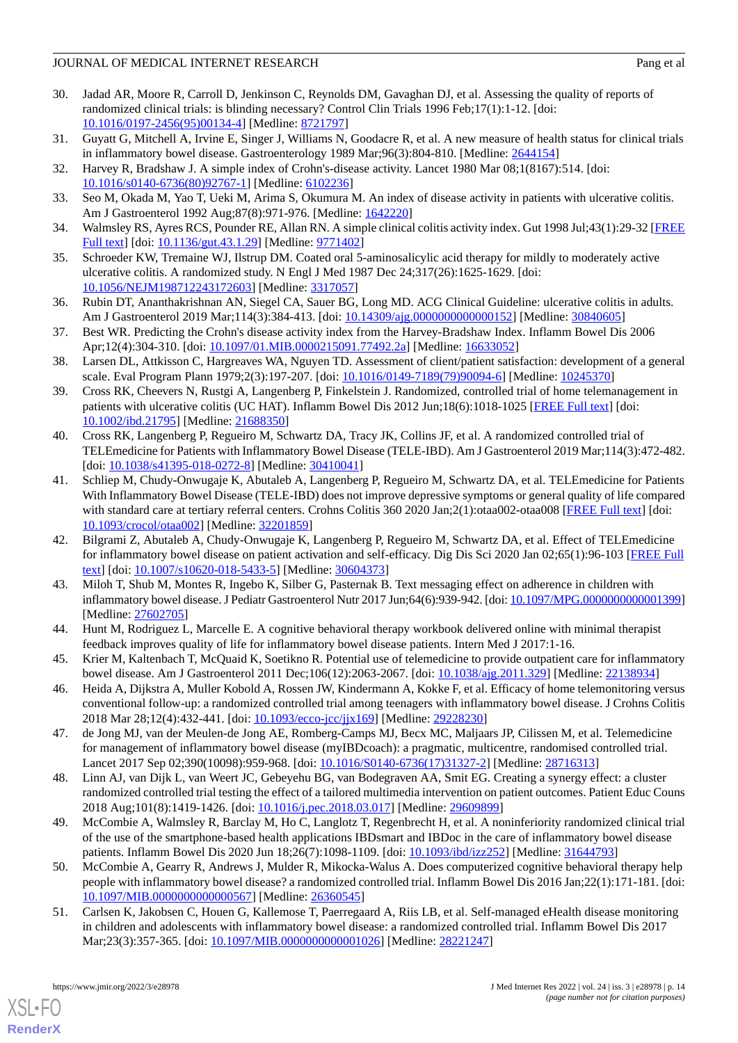- <span id="page-13-0"></span>30. Jadad AR, Moore R, Carroll D, Jenkinson C, Reynolds DM, Gavaghan DJ, et al. Assessing the quality of reports of randomized clinical trials: is blinding necessary? Control Clin Trials 1996 Feb;17(1):1-12. [doi: [10.1016/0197-2456\(95\)00134-4](http://dx.doi.org/10.1016/0197-2456(95)00134-4)] [Medline: [8721797\]](http://www.ncbi.nlm.nih.gov/entrez/query.fcgi?cmd=Retrieve&db=PubMed&list_uids=8721797&dopt=Abstract)
- <span id="page-13-2"></span><span id="page-13-1"></span>31. Guyatt G, Mitchell A, Irvine E, Singer J, Williams N, Goodacre R, et al. A new measure of health status for clinical trials in inflammatory bowel disease. Gastroenterology 1989 Mar;96(3):804-810. [Medline: [2644154\]](http://www.ncbi.nlm.nih.gov/entrez/query.fcgi?cmd=Retrieve&db=PubMed&list_uids=2644154&dopt=Abstract)
- 32. Harvey R, Bradshaw J. A simple index of Crohn's-disease activity. Lancet 1980 Mar 08;1(8167):514. [doi: [10.1016/s0140-6736\(80\)92767-1](http://dx.doi.org/10.1016/s0140-6736(80)92767-1)] [Medline: [6102236\]](http://www.ncbi.nlm.nih.gov/entrez/query.fcgi?cmd=Retrieve&db=PubMed&list_uids=6102236&dopt=Abstract)
- 33. Seo M, Okada M, Yao T, Ueki M, Arima S, Okumura M. An index of disease activity in patients with ulcerative colitis. Am J Gastroenterol 1992 Aug;87(8):971-976. [Medline: [1642220\]](http://www.ncbi.nlm.nih.gov/entrez/query.fcgi?cmd=Retrieve&db=PubMed&list_uids=1642220&dopt=Abstract)
- <span id="page-13-3"></span>34. Walmsley RS, Ayres RCS, Pounder RE, Allan RN. A simple clinical colitis activity index. Gut 1998 Jul;43(1):29-32 [\[FREE](https://gut.bmj.com/lookup/pmidlookup?view=long&pmid=9771402) [Full text\]](https://gut.bmj.com/lookup/pmidlookup?view=long&pmid=9771402) [doi: [10.1136/gut.43.1.29\]](http://dx.doi.org/10.1136/gut.43.1.29) [Medline: [9771402](http://www.ncbi.nlm.nih.gov/entrez/query.fcgi?cmd=Retrieve&db=PubMed&list_uids=9771402&dopt=Abstract)]
- <span id="page-13-4"></span>35. Schroeder KW, Tremaine WJ, Ilstrup DM. Coated oral 5-aminosalicylic acid therapy for mildly to moderately active ulcerative colitis. A randomized study. N Engl J Med 1987 Dec 24;317(26):1625-1629. [doi: [10.1056/NEJM198712243172603\]](http://dx.doi.org/10.1056/NEJM198712243172603) [Medline: [3317057\]](http://www.ncbi.nlm.nih.gov/entrez/query.fcgi?cmd=Retrieve&db=PubMed&list_uids=3317057&dopt=Abstract)
- <span id="page-13-5"></span>36. Rubin DT, Ananthakrishnan AN, Siegel CA, Sauer BG, Long MD. ACG Clinical Guideline: ulcerative colitis in adults. Am J Gastroenterol 2019 Mar;114(3):384-413. [doi: [10.14309/ajg.0000000000000152](http://dx.doi.org/10.14309/ajg.0000000000000152)] [Medline: [30840605](http://www.ncbi.nlm.nih.gov/entrez/query.fcgi?cmd=Retrieve&db=PubMed&list_uids=30840605&dopt=Abstract)]
- <span id="page-13-6"></span>37. Best WR. Predicting the Crohn's disease activity index from the Harvey-Bradshaw Index. Inflamm Bowel Dis 2006 Apr;12(4):304-310. [doi: [10.1097/01.MIB.0000215091.77492.2a\]](http://dx.doi.org/10.1097/01.MIB.0000215091.77492.2a) [Medline: [16633052](http://www.ncbi.nlm.nih.gov/entrez/query.fcgi?cmd=Retrieve&db=PubMed&list_uids=16633052&dopt=Abstract)]
- <span id="page-13-7"></span>38. Larsen DL, Attkisson C, Hargreaves WA, Nguyen TD. Assessment of client/patient satisfaction: development of a general scale. Eval Program Plann 1979;2(3):197-207. [doi: [10.1016/0149-7189\(79\)90094-6\]](http://dx.doi.org/10.1016/0149-7189(79)90094-6) [Medline: [10245370\]](http://www.ncbi.nlm.nih.gov/entrez/query.fcgi?cmd=Retrieve&db=PubMed&list_uids=10245370&dopt=Abstract)
- <span id="page-13-15"></span>39. Cross RK, Cheevers N, Rustgi A, Langenberg P, Finkelstein J. Randomized, controlled trial of home telemanagement in patients with ulcerative colitis (UC HAT). Inflamm Bowel Dis 2012 Jun;18(6):1018-1025 [[FREE Full text](http://europepmc.org/abstract/MED/21688350)] [doi: [10.1002/ibd.21795](http://dx.doi.org/10.1002/ibd.21795)] [Medline: [21688350\]](http://www.ncbi.nlm.nih.gov/entrez/query.fcgi?cmd=Retrieve&db=PubMed&list_uids=21688350&dopt=Abstract)
- <span id="page-13-19"></span>40. Cross RK, Langenberg P, Regueiro M, Schwartz DA, Tracy JK, Collins JF, et al. A randomized controlled trial of TELEmedicine for Patients with Inflammatory Bowel Disease (TELE-IBD). Am J Gastroenterol 2019 Mar;114(3):472-482. [doi: [10.1038/s41395-018-0272-8](http://dx.doi.org/10.1038/s41395-018-0272-8)] [Medline: [30410041\]](http://www.ncbi.nlm.nih.gov/entrez/query.fcgi?cmd=Retrieve&db=PubMed&list_uids=30410041&dopt=Abstract)
- <span id="page-13-14"></span>41. Schliep M, Chudy-Onwugaje K, Abutaleb A, Langenberg P, Regueiro M, Schwartz DA, et al. TELEmedicine for Patients With Inflammatory Bowel Disease (TELE-IBD) does not improve depressive symptoms or general quality of life compared with standard care at tertiary referral centers. Crohns Colitis 360 2020 Jan;2(1):otaa002-otaa008 [\[FREE Full text\]](http://europepmc.org/abstract/MED/32201859) [doi: [10.1093/crocol/otaa002](http://dx.doi.org/10.1093/crocol/otaa002)] [Medline: [32201859](http://www.ncbi.nlm.nih.gov/entrez/query.fcgi?cmd=Retrieve&db=PubMed&list_uids=32201859&dopt=Abstract)]
- <span id="page-13-18"></span>42. Bilgrami Z, Abutaleb A, Chudy-Onwugaje K, Langenberg P, Regueiro M, Schwartz DA, et al. Effect of TELEmedicine for inflammatory bowel disease on patient activation and self-efficacy. Dig Dis Sci 2020 Jan 02;65(1):96-103 [[FREE Full](http://europepmc.org/abstract/MED/30604373) [text](http://europepmc.org/abstract/MED/30604373)] [doi: [10.1007/s10620-018-5433-5\]](http://dx.doi.org/10.1007/s10620-018-5433-5) [Medline: [30604373](http://www.ncbi.nlm.nih.gov/entrez/query.fcgi?cmd=Retrieve&db=PubMed&list_uids=30604373&dopt=Abstract)]
- <span id="page-13-17"></span><span id="page-13-8"></span>43. Miloh T, Shub M, Montes R, Ingebo K, Silber G, Pasternak B. Text messaging effect on adherence in children with inflammatory bowel disease. J Pediatr Gastroenterol Nutr 2017 Jun;64(6):939-942. [doi: [10.1097/MPG.0000000000001399\]](http://dx.doi.org/10.1097/MPG.0000000000001399) [Medline: [27602705](http://www.ncbi.nlm.nih.gov/entrez/query.fcgi?cmd=Retrieve&db=PubMed&list_uids=27602705&dopt=Abstract)]
- <span id="page-13-9"></span>44. Hunt M, Rodriguez L, Marcelle E. A cognitive behavioral therapy workbook delivered online with minimal therapist feedback improves quality of life for inflammatory bowel disease patients. Intern Med J 2017:1-16.
- <span id="page-13-16"></span>45. Krier M, Kaltenbach T, McQuaid K, Soetikno R. Potential use of telemedicine to provide outpatient care for inflammatory bowel disease. Am J Gastroenterol 2011 Dec;106(12):2063-2067. [doi: [10.1038/ajg.2011.329\]](http://dx.doi.org/10.1038/ajg.2011.329) [Medline: [22138934\]](http://www.ncbi.nlm.nih.gov/entrez/query.fcgi?cmd=Retrieve&db=PubMed&list_uids=22138934&dopt=Abstract)
- <span id="page-13-10"></span>46. Heida A, Dijkstra A, Muller Kobold A, Rossen JW, Kindermann A, Kokke F, et al. Efficacy of home telemonitoring versus conventional follow-up: a randomized controlled trial among teenagers with inflammatory bowel disease. J Crohns Colitis 2018 Mar 28;12(4):432-441. [doi: [10.1093/ecco-jcc/jjx169](http://dx.doi.org/10.1093/ecco-jcc/jjx169)] [Medline: [29228230\]](http://www.ncbi.nlm.nih.gov/entrez/query.fcgi?cmd=Retrieve&db=PubMed&list_uids=29228230&dopt=Abstract)
- <span id="page-13-11"></span>47. de Jong MJ, van der Meulen-de Jong AE, Romberg-Camps MJ, Becx MC, Maljaars JP, Cilissen M, et al. Telemedicine for management of inflammatory bowel disease (myIBDcoach): a pragmatic, multicentre, randomised controlled trial. Lancet 2017 Sep 02;390(10098):959-968. [doi: [10.1016/S0140-6736\(17\)31327-2](http://dx.doi.org/10.1016/S0140-6736(17)31327-2)] [Medline: [28716313](http://www.ncbi.nlm.nih.gov/entrez/query.fcgi?cmd=Retrieve&db=PubMed&list_uids=28716313&dopt=Abstract)]
- <span id="page-13-12"></span>48. Linn AJ, van Dijk L, van Weert JC, Gebeyehu BG, van Bodegraven AA, Smit EG. Creating a synergy effect: a cluster randomized controlled trial testing the effect of a tailored multimedia intervention on patient outcomes. Patient Educ Couns 2018 Aug;101(8):1419-1426. [doi: [10.1016/j.pec.2018.03.017](http://dx.doi.org/10.1016/j.pec.2018.03.017)] [Medline: [29609899\]](http://www.ncbi.nlm.nih.gov/entrez/query.fcgi?cmd=Retrieve&db=PubMed&list_uids=29609899&dopt=Abstract)
- <span id="page-13-13"></span>49. McCombie A, Walmsley R, Barclay M, Ho C, Langlotz T, Regenbrecht H, et al. A noninferiority randomized clinical trial of the use of the smartphone-based health applications IBDsmart and IBDoc in the care of inflammatory bowel disease patients. Inflamm Bowel Dis 2020 Jun 18;26(7):1098-1109. [doi: [10.1093/ibd/izz252\]](http://dx.doi.org/10.1093/ibd/izz252) [Medline: [31644793](http://www.ncbi.nlm.nih.gov/entrez/query.fcgi?cmd=Retrieve&db=PubMed&list_uids=31644793&dopt=Abstract)]
- 50. McCombie A, Gearry R, Andrews J, Mulder R, Mikocka-Walus A. Does computerized cognitive behavioral therapy help people with inflammatory bowel disease? a randomized controlled trial. Inflamm Bowel Dis 2016 Jan;22(1):171-181. [doi: [10.1097/MIB.0000000000000567](http://dx.doi.org/10.1097/MIB.0000000000000567)] [Medline: [26360545\]](http://www.ncbi.nlm.nih.gov/entrez/query.fcgi?cmd=Retrieve&db=PubMed&list_uids=26360545&dopt=Abstract)
- 51. Carlsen K, Jakobsen C, Houen G, Kallemose T, Paerregaard A, Riis LB, et al. Self-managed eHealth disease monitoring in children and adolescents with inflammatory bowel disease: a randomized controlled trial. Inflamm Bowel Dis 2017 Mar;23(3):357-365. [doi: [10.1097/MIB.0000000000001026\]](http://dx.doi.org/10.1097/MIB.0000000000001026) [Medline: [28221247\]](http://www.ncbi.nlm.nih.gov/entrez/query.fcgi?cmd=Retrieve&db=PubMed&list_uids=28221247&dopt=Abstract)